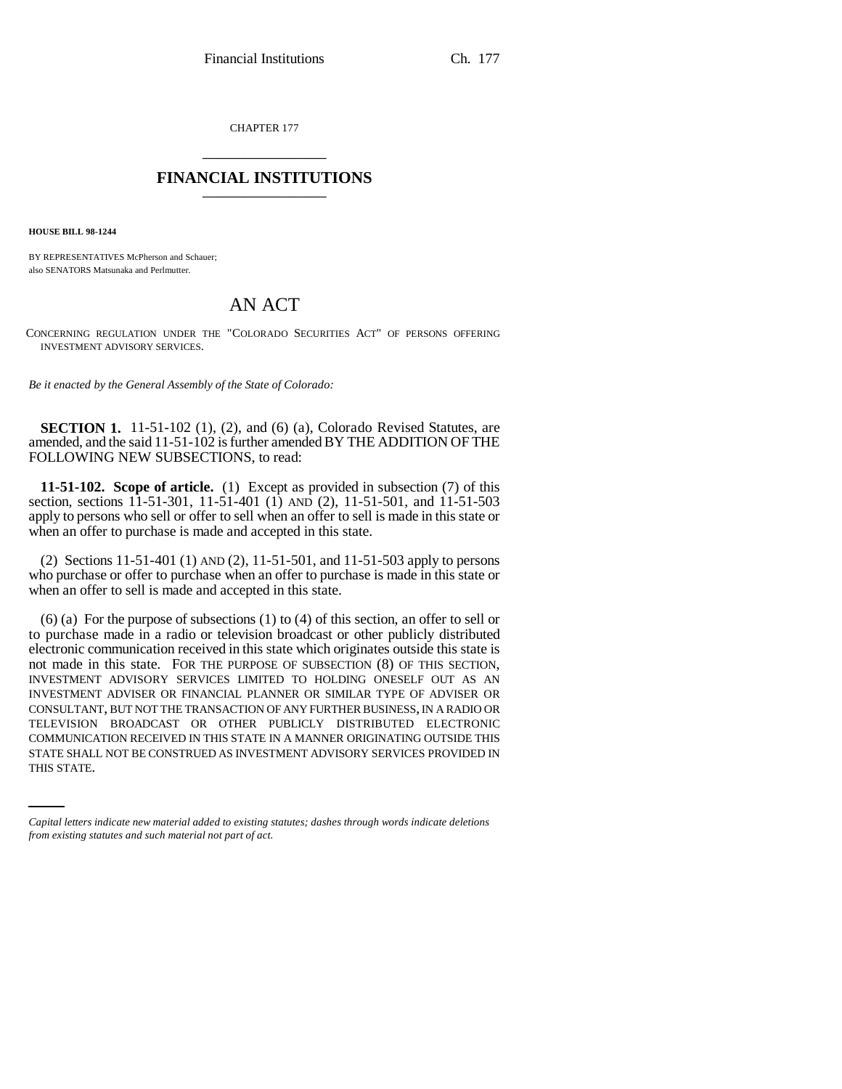CHAPTER 177 \_\_\_\_\_\_\_\_\_\_\_\_\_\_\_

## **FINANCIAL INSTITUTIONS** \_\_\_\_\_\_\_\_\_\_\_\_\_\_\_

**HOUSE BILL 98-1244**

BY REPRESENTATIVES McPherson and Schauer; also SENATORS Matsunaka and Perlmutter.

# AN ACT

CONCERNING REGULATION UNDER THE "COLORADO SECURITIES ACT" OF PERSONS OFFERING INVESTMENT ADVISORY SERVICES.

*Be it enacted by the General Assembly of the State of Colorado:*

**SECTION 1.** 11-51-102 (1), (2), and (6) (a), Colorado Revised Statutes, are amended, and the said 11-51-102 is further amended BY THE ADDITION OF THE FOLLOWING NEW SUBSECTIONS, to read:

**11-51-102. Scope of article.** (1) Except as provided in subsection (7) of this section, sections 11-51-301, 11-51-401 (1) AND (2), 11-51-501, and 11-51-503 apply to persons who sell or offer to sell when an offer to sell is made in this state or when an offer to purchase is made and accepted in this state.

(2) Sections 11-51-401 (1) AND (2), 11-51-501, and 11-51-503 apply to persons who purchase or offer to purchase when an offer to purchase is made in this state or when an offer to sell is made and accepted in this state.

COMMUNICATION RECEIVED IN THIS STATE IN A MANNER ORIGINATING OUTSIDE THIS (6) (a) For the purpose of subsections (1) to (4) of this section, an offer to sell or to purchase made in a radio or television broadcast or other publicly distributed electronic communication received in this state which originates outside this state is not made in this state. FOR THE PURPOSE OF SUBSECTION (8) OF THIS SECTION, INVESTMENT ADVISORY SERVICES LIMITED TO HOLDING ONESELF OUT AS AN INVESTMENT ADVISER OR FINANCIAL PLANNER OR SIMILAR TYPE OF ADVISER OR CONSULTANT, BUT NOT THE TRANSACTION OF ANY FURTHER BUSINESS, IN A RADIO OR TELEVISION BROADCAST OR OTHER PUBLICLY DISTRIBUTED ELECTRONIC STATE SHALL NOT BE CONSTRUED AS INVESTMENT ADVISORY SERVICES PROVIDED IN THIS STATE.

*Capital letters indicate new material added to existing statutes; dashes through words indicate deletions from existing statutes and such material not part of act.*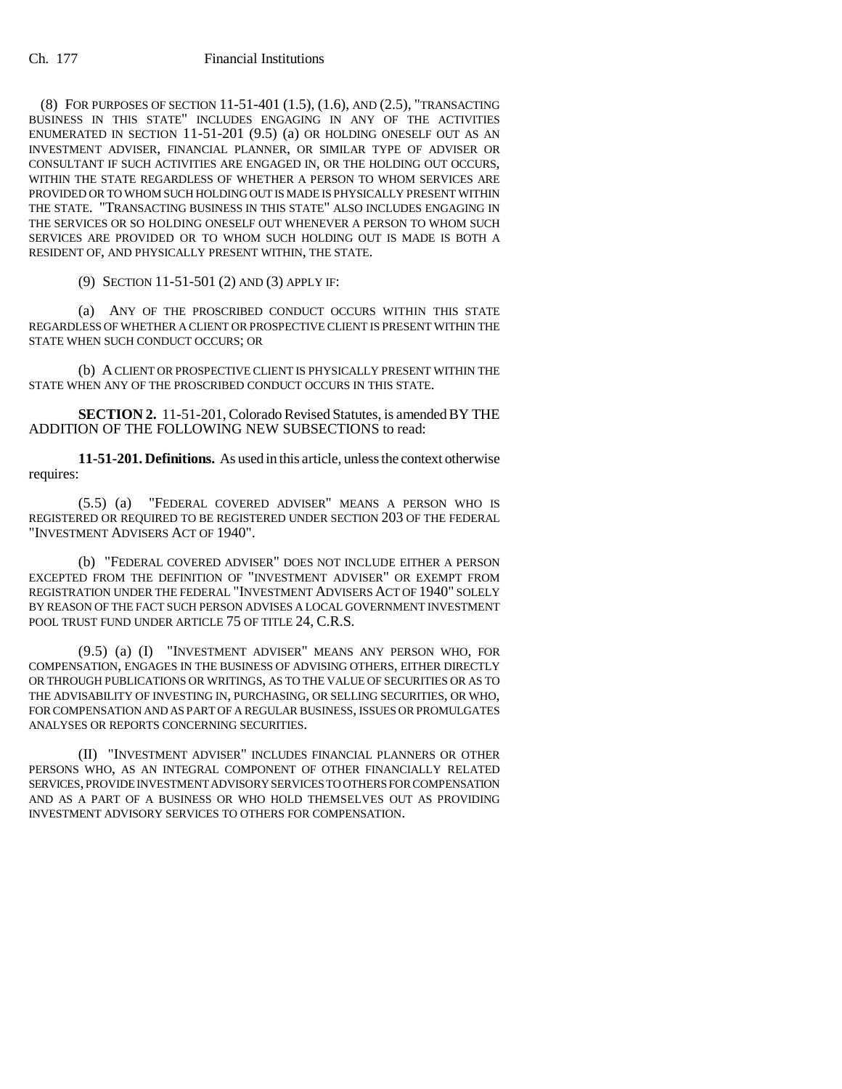(8) FOR PURPOSES OF SECTION 11-51-401 (1.5), (1.6), AND (2.5), "TRANSACTING BUSINESS IN THIS STATE" INCLUDES ENGAGING IN ANY OF THE ACTIVITIES ENUMERATED IN SECTION 11-51-201 (9.5) (a) OR HOLDING ONESELF OUT AS AN INVESTMENT ADVISER, FINANCIAL PLANNER, OR SIMILAR TYPE OF ADVISER OR CONSULTANT IF SUCH ACTIVITIES ARE ENGAGED IN, OR THE HOLDING OUT OCCURS, WITHIN THE STATE REGARDLESS OF WHETHER A PERSON TO WHOM SERVICES ARE PROVIDED OR TO WHOM SUCH HOLDING OUT IS MADE IS PHYSICALLY PRESENT WITHIN THE STATE. "TRANSACTING BUSINESS IN THIS STATE" ALSO INCLUDES ENGAGING IN THE SERVICES OR SO HOLDING ONESELF OUT WHENEVER A PERSON TO WHOM SUCH SERVICES ARE PROVIDED OR TO WHOM SUCH HOLDING OUT IS MADE IS BOTH A RESIDENT OF, AND PHYSICALLY PRESENT WITHIN, THE STATE.

(9) SECTION 11-51-501 (2) AND (3) APPLY IF:

(a) ANY OF THE PROSCRIBED CONDUCT OCCURS WITHIN THIS STATE REGARDLESS OF WHETHER A CLIENT OR PROSPECTIVE CLIENT IS PRESENT WITHIN THE STATE WHEN SUCH CONDUCT OCCURS; OR

(b) A CLIENT OR PROSPECTIVE CLIENT IS PHYSICALLY PRESENT WITHIN THE STATE WHEN ANY OF THE PROSCRIBED CONDUCT OCCURS IN THIS STATE.

**SECTION 2.** 11-51-201, Colorado Revised Statutes, is amended BY THE ADDITION OF THE FOLLOWING NEW SUBSECTIONS to read:

**11-51-201. Definitions.** As used in this article, unless the context otherwise requires:

(5.5) (a) "FEDERAL COVERED ADVISER" MEANS A PERSON WHO IS REGISTERED OR REQUIRED TO BE REGISTERED UNDER SECTION 203 OF THE FEDERAL "INVESTMENT ADVISERS ACT OF 1940".

(b) "FEDERAL COVERED ADVISER" DOES NOT INCLUDE EITHER A PERSON EXCEPTED FROM THE DEFINITION OF "INVESTMENT ADVISER" OR EXEMPT FROM REGISTRATION UNDER THE FEDERAL "INVESTMENT ADVISERS ACT OF 1940" SOLELY BY REASON OF THE FACT SUCH PERSON ADVISES A LOCAL GOVERNMENT INVESTMENT POOL TRUST FUND UNDER ARTICLE 75 OF TITLE 24, C.R.S.

(9.5) (a) (I) "INVESTMENT ADVISER" MEANS ANY PERSON WHO, FOR COMPENSATION, ENGAGES IN THE BUSINESS OF ADVISING OTHERS, EITHER DIRECTLY OR THROUGH PUBLICATIONS OR WRITINGS, AS TO THE VALUE OF SECURITIES OR AS TO THE ADVISABILITY OF INVESTING IN, PURCHASING, OR SELLING SECURITIES, OR WHO, FOR COMPENSATION AND AS PART OF A REGULAR BUSINESS, ISSUES OR PROMULGATES ANALYSES OR REPORTS CONCERNING SECURITIES.

(II) "INVESTMENT ADVISER" INCLUDES FINANCIAL PLANNERS OR OTHER PERSONS WHO, AS AN INTEGRAL COMPONENT OF OTHER FINANCIALLY RELATED SERVICES, PROVIDE INVESTMENT ADVISORY SERVICES TO OTHERS FOR COMPENSATION AND AS A PART OF A BUSINESS OR WHO HOLD THEMSELVES OUT AS PROVIDING INVESTMENT ADVISORY SERVICES TO OTHERS FOR COMPENSATION.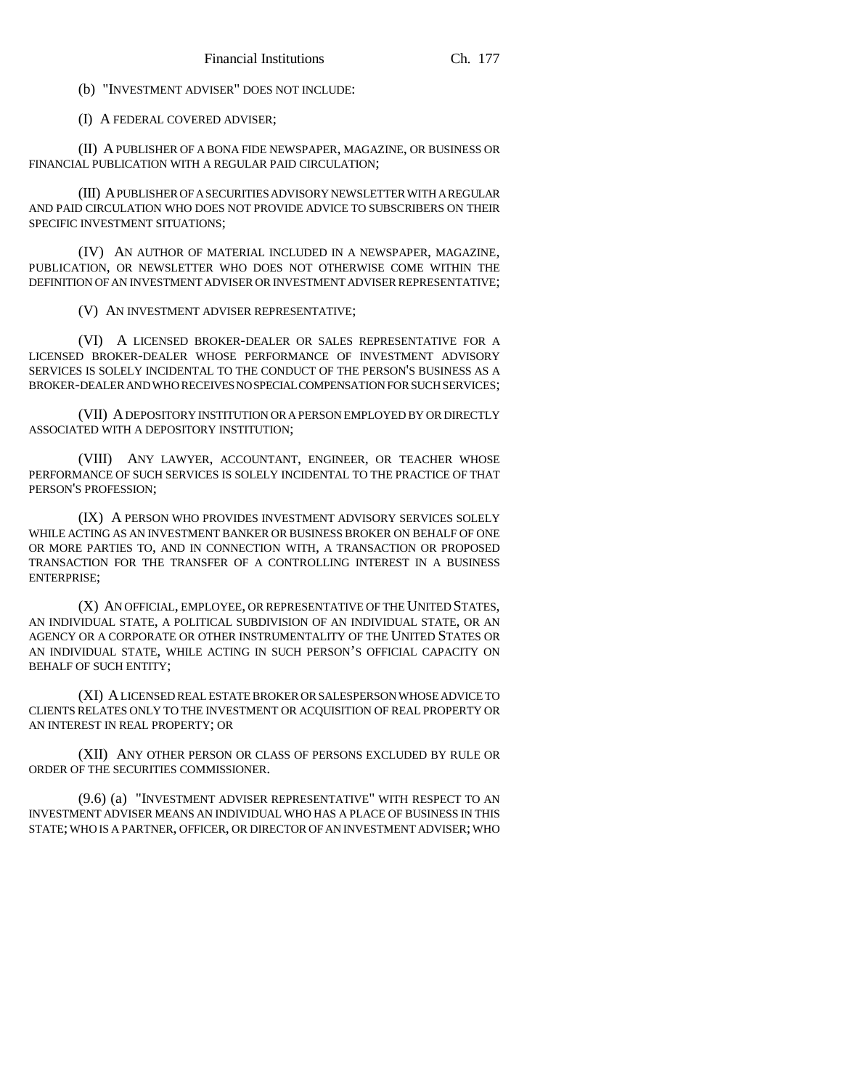(b) "INVESTMENT ADVISER" DOES NOT INCLUDE:

(I) A FEDERAL COVERED ADVISER;

(II) A PUBLISHER OF A BONA FIDE NEWSPAPER, MAGAZINE, OR BUSINESS OR FINANCIAL PUBLICATION WITH A REGULAR PAID CIRCULATION;

(III) A PUBLISHER OF A SECURITIES ADVISORY NEWSLETTER WITH A REGULAR AND PAID CIRCULATION WHO DOES NOT PROVIDE ADVICE TO SUBSCRIBERS ON THEIR SPECIFIC INVESTMENT SITUATIONS;

(IV) AN AUTHOR OF MATERIAL INCLUDED IN A NEWSPAPER, MAGAZINE, PUBLICATION, OR NEWSLETTER WHO DOES NOT OTHERWISE COME WITHIN THE DEFINITION OF AN INVESTMENT ADVISER OR INVESTMENT ADVISER REPRESENTATIVE;

(V) AN INVESTMENT ADVISER REPRESENTATIVE;

(VI) A LICENSED BROKER-DEALER OR SALES REPRESENTATIVE FOR A LICENSED BROKER-DEALER WHOSE PERFORMANCE OF INVESTMENT ADVISORY SERVICES IS SOLELY INCIDENTAL TO THE CONDUCT OF THE PERSON'S BUSINESS AS A BROKER-DEALER AND WHO RECEIVES NO SPECIAL COMPENSATION FOR SUCH SERVICES;

(VII) A DEPOSITORY INSTITUTION OR A PERSON EMPLOYED BY OR DIRECTLY ASSOCIATED WITH A DEPOSITORY INSTITUTION;

(VIII) ANY LAWYER, ACCOUNTANT, ENGINEER, OR TEACHER WHOSE PERFORMANCE OF SUCH SERVICES IS SOLELY INCIDENTAL TO THE PRACTICE OF THAT PERSON'S PROFESSION;

(IX) A PERSON WHO PROVIDES INVESTMENT ADVISORY SERVICES SOLELY WHILE ACTING AS AN INVESTMENT BANKER OR BUSINESS BROKER ON BEHALF OF ONE OR MORE PARTIES TO, AND IN CONNECTION WITH, A TRANSACTION OR PROPOSED TRANSACTION FOR THE TRANSFER OF A CONTROLLING INTEREST IN A BUSINESS ENTERPRISE;

(X) AN OFFICIAL, EMPLOYEE, OR REPRESENTATIVE OF THE UNITED STATES, AN INDIVIDUAL STATE, A POLITICAL SUBDIVISION OF AN INDIVIDUAL STATE, OR AN AGENCY OR A CORPORATE OR OTHER INSTRUMENTALITY OF THE UNITED STATES OR AN INDIVIDUAL STATE, WHILE ACTING IN SUCH PERSON'S OFFICIAL CAPACITY ON BEHALF OF SUCH ENTITY;

(XI) A LICENSED REAL ESTATE BROKER OR SALESPERSON WHOSE ADVICE TO CLIENTS RELATES ONLY TO THE INVESTMENT OR ACQUISITION OF REAL PROPERTY OR AN INTEREST IN REAL PROPERTY; OR

(XII) ANY OTHER PERSON OR CLASS OF PERSONS EXCLUDED BY RULE OR ORDER OF THE SECURITIES COMMISSIONER.

(9.6) (a) "INVESTMENT ADVISER REPRESENTATIVE" WITH RESPECT TO AN INVESTMENT ADVISER MEANS AN INDIVIDUAL WHO HAS A PLACE OF BUSINESS IN THIS STATE; WHO IS A PARTNER, OFFICER, OR DIRECTOR OF AN INVESTMENT ADVISER; WHO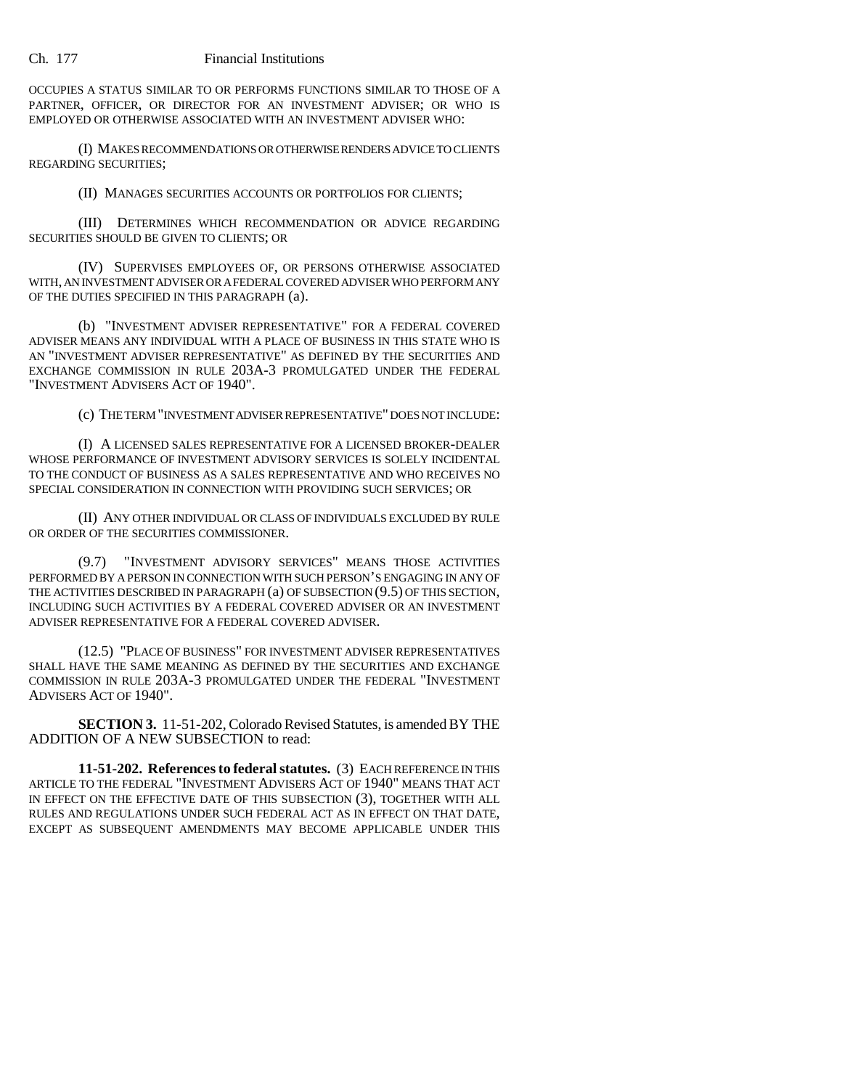OCCUPIES A STATUS SIMILAR TO OR PERFORMS FUNCTIONS SIMILAR TO THOSE OF A PARTNER, OFFICER, OR DIRECTOR FOR AN INVESTMENT ADVISER; OR WHO IS EMPLOYED OR OTHERWISE ASSOCIATED WITH AN INVESTMENT ADVISER WHO:

(I) MAKES RECOMMENDATIONS OR OTHERWISE RENDERS ADVICE TO CLIENTS REGARDING SECURITIES;

(II) MANAGES SECURITIES ACCOUNTS OR PORTFOLIOS FOR CLIENTS;

(III) DETERMINES WHICH RECOMMENDATION OR ADVICE REGARDING SECURITIES SHOULD BE GIVEN TO CLIENTS; OR

(IV) SUPERVISES EMPLOYEES OF, OR PERSONS OTHERWISE ASSOCIATED WITH, AN INVESTMENT ADVISER OR A FEDERAL COVERED ADVISER WHO PERFORM ANY OF THE DUTIES SPECIFIED IN THIS PARAGRAPH (a).

(b) "INVESTMENT ADVISER REPRESENTATIVE" FOR A FEDERAL COVERED ADVISER MEANS ANY INDIVIDUAL WITH A PLACE OF BUSINESS IN THIS STATE WHO IS AN "INVESTMENT ADVISER REPRESENTATIVE" AS DEFINED BY THE SECURITIES AND EXCHANGE COMMISSION IN RULE 203A-3 PROMULGATED UNDER THE FEDERAL "INVESTMENT ADVISERS ACT OF 1940".

(c) THE TERM "INVESTMENT ADVISER REPRESENTATIVE" DOES NOT INCLUDE:

(I) A LICENSED SALES REPRESENTATIVE FOR A LICENSED BROKER-DEALER WHOSE PERFORMANCE OF INVESTMENT ADVISORY SERVICES IS SOLELY INCIDENTAL TO THE CONDUCT OF BUSINESS AS A SALES REPRESENTATIVE AND WHO RECEIVES NO SPECIAL CONSIDERATION IN CONNECTION WITH PROVIDING SUCH SERVICES; OR

(II) ANY OTHER INDIVIDUAL OR CLASS OF INDIVIDUALS EXCLUDED BY RULE OR ORDER OF THE SECURITIES COMMISSIONER.

(9.7) "INVESTMENT ADVISORY SERVICES" MEANS THOSE ACTIVITIES PERFORMED BY A PERSON IN CONNECTION WITH SUCH PERSON'S ENGAGING IN ANY OF THE ACTIVITIES DESCRIBED IN PARAGRAPH (a) OF SUBSECTION (9.5) OF THIS SECTION, INCLUDING SUCH ACTIVITIES BY A FEDERAL COVERED ADVISER OR AN INVESTMENT ADVISER REPRESENTATIVE FOR A FEDERAL COVERED ADVISER.

(12.5) "PLACE OF BUSINESS" FOR INVESTMENT ADVISER REPRESENTATIVES SHALL HAVE THE SAME MEANING AS DEFINED BY THE SECURITIES AND EXCHANGE COMMISSION IN RULE 203A-3 PROMULGATED UNDER THE FEDERAL "INVESTMENT ADVISERS ACT OF 1940".

**SECTION 3.** 11-51-202, Colorado Revised Statutes, is amended BY THE ADDITION OF A NEW SUBSECTION to read:

**11-51-202. References to federal statutes.** (3) EACH REFERENCE IN THIS ARTICLE TO THE FEDERAL "INVESTMENT ADVISERS ACT OF 1940" MEANS THAT ACT IN EFFECT ON THE EFFECTIVE DATE OF THIS SUBSECTION (3), TOGETHER WITH ALL RULES AND REGULATIONS UNDER SUCH FEDERAL ACT AS IN EFFECT ON THAT DATE, EXCEPT AS SUBSEQUENT AMENDMENTS MAY BECOME APPLICABLE UNDER THIS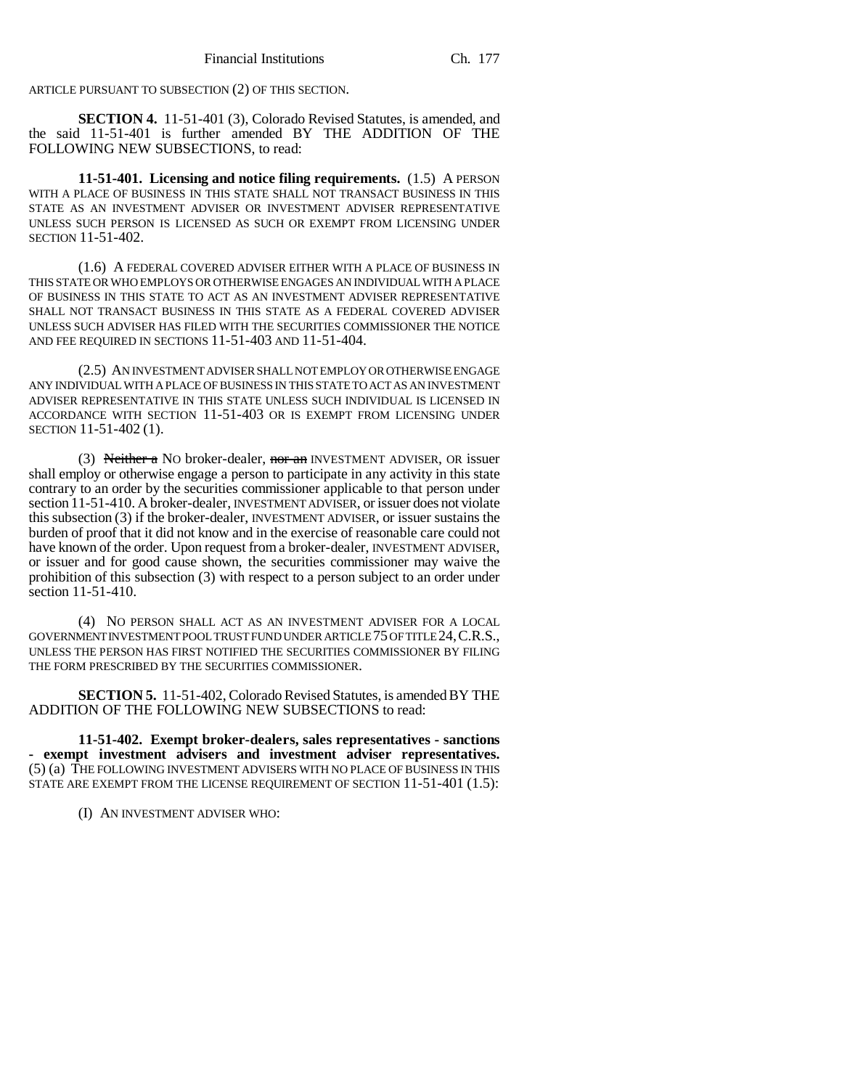ARTICLE PURSUANT TO SUBSECTION (2) OF THIS SECTION.

**SECTION 4.** 11-51-401 (3), Colorado Revised Statutes, is amended, and the said 11-51-401 is further amended BY THE ADDITION OF THE FOLLOWING NEW SUBSECTIONS, to read:

**11-51-401. Licensing and notice filing requirements.** (1.5) A PERSON WITH A PLACE OF BUSINESS IN THIS STATE SHALL NOT TRANSACT BUSINESS IN THIS STATE AS AN INVESTMENT ADVISER OR INVESTMENT ADVISER REPRESENTATIVE UNLESS SUCH PERSON IS LICENSED AS SUCH OR EXEMPT FROM LICENSING UNDER SECTION 11-51-402.

(1.6) A FEDERAL COVERED ADVISER EITHER WITH A PLACE OF BUSINESS IN THIS STATE OR WHO EMPLOYS OR OTHERWISE ENGAGES AN INDIVIDUAL WITH A PLACE OF BUSINESS IN THIS STATE TO ACT AS AN INVESTMENT ADVISER REPRESENTATIVE SHALL NOT TRANSACT BUSINESS IN THIS STATE AS A FEDERAL COVERED ADVISER UNLESS SUCH ADVISER HAS FILED WITH THE SECURITIES COMMISSIONER THE NOTICE AND FEE REQUIRED IN SECTIONS 11-51-403 AND 11-51-404.

(2.5) AN INVESTMENT ADVISER SHALL NOT EMPLOY OR OTHERWISE ENGAGE ANY INDIVIDUAL WITH A PLACE OF BUSINESS IN THIS STATE TO ACT AS AN INVESTMENT ADVISER REPRESENTATIVE IN THIS STATE UNLESS SUCH INDIVIDUAL IS LICENSED IN ACCORDANCE WITH SECTION 11-51-403 OR IS EXEMPT FROM LICENSING UNDER SECTION 11-51-402 (1).

(3) Neither a NO broker-dealer, nor an INVESTMENT ADVISER, OR issuer shall employ or otherwise engage a person to participate in any activity in this state contrary to an order by the securities commissioner applicable to that person under section 11-51-410. A broker-dealer, INVESTMENT ADVISER, or issuer does not violate this subsection (3) if the broker-dealer, INVESTMENT ADVISER, or issuer sustains the burden of proof that it did not know and in the exercise of reasonable care could not have known of the order. Upon request from a broker-dealer, INVESTMENT ADVISER, or issuer and for good cause shown, the securities commissioner may waive the prohibition of this subsection (3) with respect to a person subject to an order under section 11-51-410.

(4) NO PERSON SHALL ACT AS AN INVESTMENT ADVISER FOR A LOCAL GOVERNMENT INVESTMENT POOL TRUST FUND UNDER ARTICLE 75 OF TITLE 24,C.R.S., UNLESS THE PERSON HAS FIRST NOTIFIED THE SECURITIES COMMISSIONER BY FILING THE FORM PRESCRIBED BY THE SECURITIES COMMISSIONER.

**SECTION 5.** 11-51-402, Colorado Revised Statutes, is amended BY THE ADDITION OF THE FOLLOWING NEW SUBSECTIONS to read:

**11-51-402. Exempt broker-dealers, sales representatives - sanctions - exempt investment advisers and investment adviser representatives.** (5) (a) THE FOLLOWING INVESTMENT ADVISERS WITH NO PLACE OF BUSINESS IN THIS STATE ARE EXEMPT FROM THE LICENSE REQUIREMENT OF SECTION 11-51-401 (1.5):

(I) AN INVESTMENT ADVISER WHO: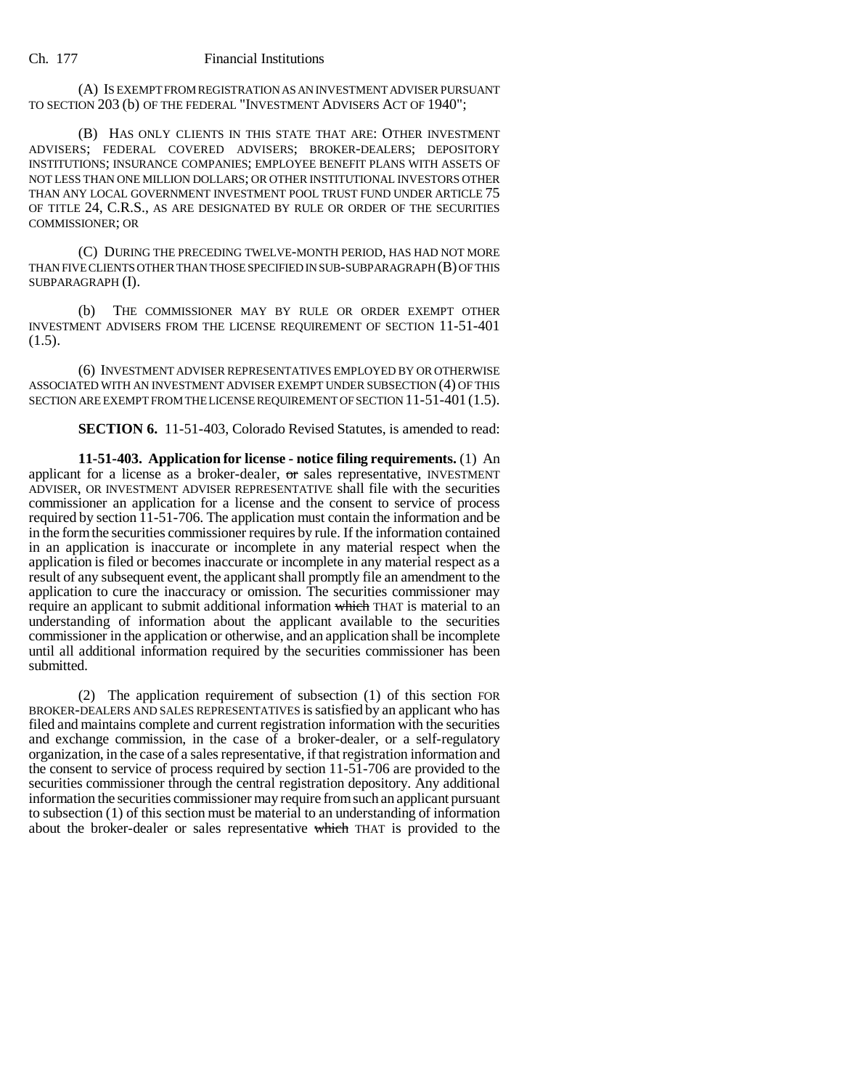(A) IS EXEMPT FROM REGISTRATION AS AN INVESTMENT ADVISER PURSUANT TO SECTION 203 (b) OF THE FEDERAL "INVESTMENT ADVISERS ACT OF 1940";

(B) HAS ONLY CLIENTS IN THIS STATE THAT ARE: OTHER INVESTMENT ADVISERS; FEDERAL COVERED ADVISERS; BROKER-DEALERS; DEPOSITORY INSTITUTIONS; INSURANCE COMPANIES; EMPLOYEE BENEFIT PLANS WITH ASSETS OF NOT LESS THAN ONE MILLION DOLLARS; OR OTHER INSTITUTIONAL INVESTORS OTHER THAN ANY LOCAL GOVERNMENT INVESTMENT POOL TRUST FUND UNDER ARTICLE 75 OF TITLE 24, C.R.S., AS ARE DESIGNATED BY RULE OR ORDER OF THE SECURITIES COMMISSIONER; OR

(C) DURING THE PRECEDING TWELVE-MONTH PERIOD, HAS HAD NOT MORE THAN FIVE CLIENTS OTHER THAN THOSE SPECIFIED IN SUB-SUBPARAGRAPH (B) OF THIS SUBPARAGRAPH (I).

(b) THE COMMISSIONER MAY BY RULE OR ORDER EXEMPT OTHER INVESTMENT ADVISERS FROM THE LICENSE REQUIREMENT OF SECTION 11-51-401  $(1.5).$ 

(6) INVESTMENT ADVISER REPRESENTATIVES EMPLOYED BY OR OTHERWISE ASSOCIATED WITH AN INVESTMENT ADVISER EXEMPT UNDER SUBSECTION (4) OF THIS SECTION ARE EXEMPT FROM THE LICENSE REQUIREMENT OF SECTION 11-51-401 (1.5).

**SECTION 6.** 11-51-403, Colorado Revised Statutes, is amended to read:

**11-51-403. Application for license - notice filing requirements.** (1) An applicant for a license as a broker-dealer, or sales representative, INVESTMENT ADVISER, OR INVESTMENT ADVISER REPRESENTATIVE shall file with the securities commissioner an application for a license and the consent to service of process required by section 11-51-706. The application must contain the information and be in the form the securities commissioner requires by rule. If the information contained in an application is inaccurate or incomplete in any material respect when the application is filed or becomes inaccurate or incomplete in any material respect as a result of any subsequent event, the applicant shall promptly file an amendment to the application to cure the inaccuracy or omission. The securities commissioner may require an applicant to submit additional information which THAT is material to an understanding of information about the applicant available to the securities commissioner in the application or otherwise, and an application shall be incomplete until all additional information required by the securities commissioner has been submitted.

(2) The application requirement of subsection (1) of this section FOR BROKER-DEALERS AND SALES REPRESENTATIVES is satisfied by an applicant who has filed and maintains complete and current registration information with the securities and exchange commission, in the case of a broker-dealer, or a self-regulatory organization, in the case of a sales representative, if that registration information and the consent to service of process required by section 11-51-706 are provided to the securities commissioner through the central registration depository. Any additional information the securities commissioner may require from such an applicant pursuant to subsection (1) of this section must be material to an understanding of information about the broker-dealer or sales representative which THAT is provided to the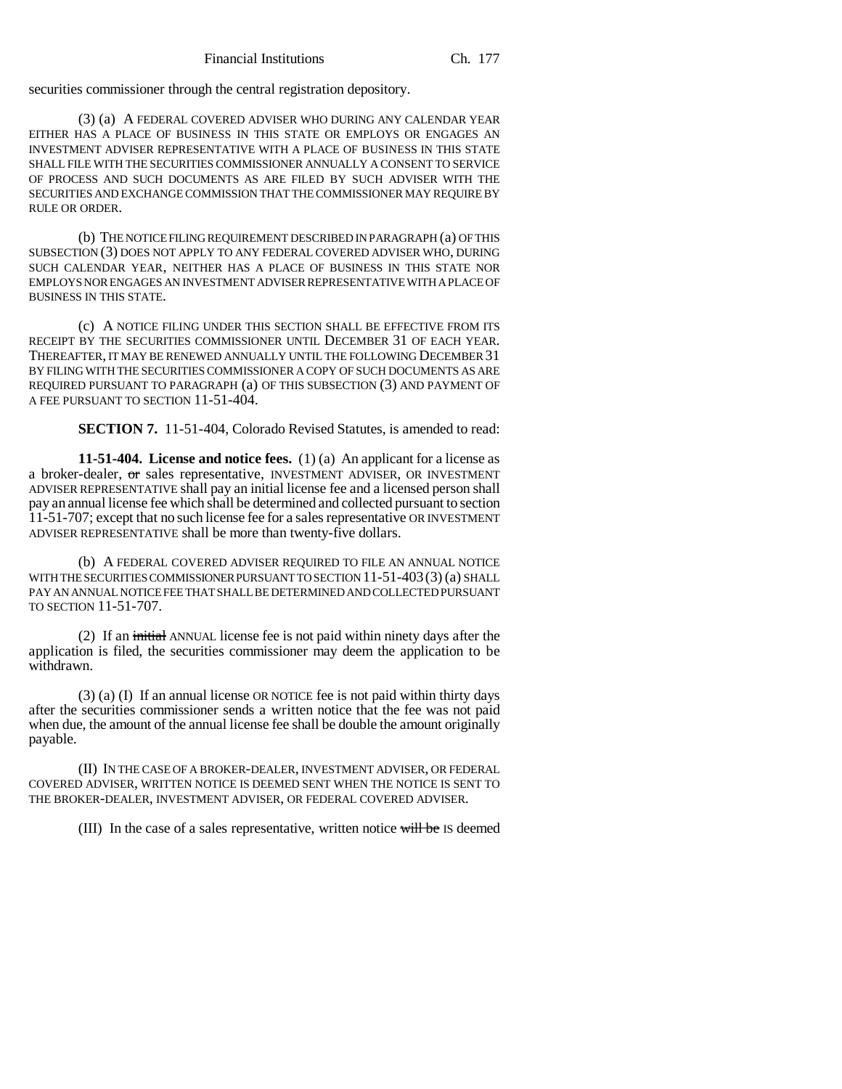securities commissioner through the central registration depository.

(3) (a) A FEDERAL COVERED ADVISER WHO DURING ANY CALENDAR YEAR EITHER HAS A PLACE OF BUSINESS IN THIS STATE OR EMPLOYS OR ENGAGES AN INVESTMENT ADVISER REPRESENTATIVE WITH A PLACE OF BUSINESS IN THIS STATE SHALL FILE WITH THE SECURITIES COMMISSIONER ANNUALLY A CONSENT TO SERVICE OF PROCESS AND SUCH DOCUMENTS AS ARE FILED BY SUCH ADVISER WITH THE SECURITIES AND EXCHANGE COMMISSION THAT THE COMMISSIONER MAY REQUIRE BY RULE OR ORDER.

(b) THE NOTICE FILING REQUIREMENT DESCRIBED IN PARAGRAPH (a) OF THIS SUBSECTION (3) DOES NOT APPLY TO ANY FEDERAL COVERED ADVISER WHO, DURING SUCH CALENDAR YEAR, NEITHER HAS A PLACE OF BUSINESS IN THIS STATE NOR EMPLOYS NOR ENGAGES AN INVESTMENT ADVISER REPRESENTATIVE WITH A PLACE OF BUSINESS IN THIS STATE.

(c) A NOTICE FILING UNDER THIS SECTION SHALL BE EFFECTIVE FROM ITS RECEIPT BY THE SECURITIES COMMISSIONER UNTIL DECEMBER 31 OF EACH YEAR. THEREAFTER, IT MAY BE RENEWED ANNUALLY UNTIL THE FOLLOWING DECEMBER 31 BY FILING WITH THE SECURITIES COMMISSIONER A COPY OF SUCH DOCUMENTS AS ARE REQUIRED PURSUANT TO PARAGRAPH (a) OF THIS SUBSECTION (3) AND PAYMENT OF A FEE PURSUANT TO SECTION 11-51-404.

**SECTION 7.** 11-51-404, Colorado Revised Statutes, is amended to read:

**11-51-404. License and notice fees.** (1) (a) An applicant for a license as a broker-dealer,  $\sigma$  sales representative, INVESTMENT ADVISER, OR INVESTMENT ADVISER REPRESENTATIVE shall pay an initial license fee and a licensed person shall pay an annual license fee which shall be determined and collected pursuant to section 11-51-707; except that no such license fee for a sales representative OR INVESTMENT ADVISER REPRESENTATIVE shall be more than twenty-five dollars.

(b) A FEDERAL COVERED ADVISER REQUIRED TO FILE AN ANNUAL NOTICE WITH THE SECURITIES COMMISSIONER PURSUANT TO SECTION 11-51-403(3) (a) SHALL PAY AN ANNUAL NOTICE FEE THAT SHALL BE DETERMINED AND COLLECTED PURSUANT TO SECTION 11-51-707.

(2) If an initial ANNUAL license fee is not paid within ninety days after the application is filed, the securities commissioner may deem the application to be withdrawn.

(3) (a) (I) If an annual license OR NOTICE fee is not paid within thirty days after the securities commissioner sends a written notice that the fee was not paid when due, the amount of the annual license fee shall be double the amount originally payable.

(II) IN THE CASE OF A BROKER-DEALER, INVESTMENT ADVISER, OR FEDERAL COVERED ADVISER, WRITTEN NOTICE IS DEEMED SENT WHEN THE NOTICE IS SENT TO THE BROKER-DEALER, INVESTMENT ADVISER, OR FEDERAL COVERED ADVISER.

(III) In the case of a sales representative, written notice will be IS deemed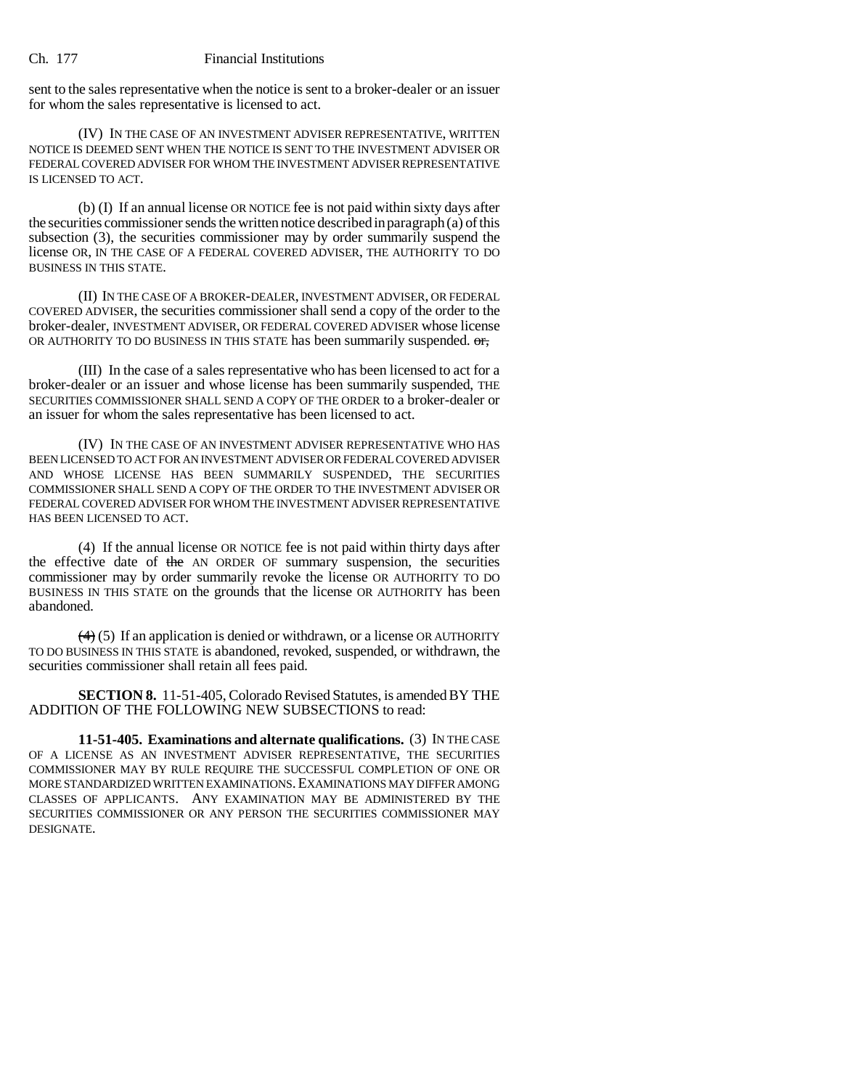sent to the sales representative when the notice is sent to a broker-dealer or an issuer for whom the sales representative is licensed to act.

(IV) IN THE CASE OF AN INVESTMENT ADVISER REPRESENTATIVE, WRITTEN NOTICE IS DEEMED SENT WHEN THE NOTICE IS SENT TO THE INVESTMENT ADVISER OR FEDERAL COVERED ADVISER FOR WHOM THE INVESTMENT ADVISER REPRESENTATIVE IS LICENSED TO ACT.

(b) (I) If an annual license OR NOTICE fee is not paid within sixty days after the securities commissioner sends the written notice described in paragraph (a) of this subsection (3), the securities commissioner may by order summarily suspend the license OR, IN THE CASE OF A FEDERAL COVERED ADVISER, THE AUTHORITY TO DO BUSINESS IN THIS STATE.

(II) IN THE CASE OF A BROKER-DEALER, INVESTMENT ADVISER, OR FEDERAL COVERED ADVISER, the securities commissioner shall send a copy of the order to the broker-dealer, INVESTMENT ADVISER, OR FEDERAL COVERED ADVISER whose license OR AUTHORITY TO DO BUSINESS IN THIS STATE has been summarily suspended.  $\sigma$ 

(III) In the case of a sales representative who has been licensed to act for a broker-dealer or an issuer and whose license has been summarily suspended, THE SECURITIES COMMISSIONER SHALL SEND A COPY OF THE ORDER to a broker-dealer or an issuer for whom the sales representative has been licensed to act.

(IV) IN THE CASE OF AN INVESTMENT ADVISER REPRESENTATIVE WHO HAS BEEN LICENSED TO ACT FOR AN INVESTMENT ADVISER OR FEDERAL COVERED ADVISER AND WHOSE LICENSE HAS BEEN SUMMARILY SUSPENDED, THE SECURITIES COMMISSIONER SHALL SEND A COPY OF THE ORDER TO THE INVESTMENT ADVISER OR FEDERAL COVERED ADVISER FOR WHOM THE INVESTMENT ADVISER REPRESENTATIVE HAS BEEN LICENSED TO ACT.

(4) If the annual license OR NOTICE fee is not paid within thirty days after the effective date of the AN ORDER OF summary suspension, the securities commissioner may by order summarily revoke the license OR AUTHORITY TO DO BUSINESS IN THIS STATE on the grounds that the license OR AUTHORITY has been abandoned.

 $\left(\frac{4}{4}\right)$  (5) If an application is denied or withdrawn, or a license OR AUTHORITY TO DO BUSINESS IN THIS STATE is abandoned, revoked, suspended, or withdrawn, the securities commissioner shall retain all fees paid.

**SECTION 8.** 11-51-405, Colorado Revised Statutes, is amended BY THE ADDITION OF THE FOLLOWING NEW SUBSECTIONS to read:

**11-51-405. Examinations and alternate qualifications.** (3) IN THE CASE OF A LICENSE AS AN INVESTMENT ADVISER REPRESENTATIVE, THE SECURITIES COMMISSIONER MAY BY RULE REQUIRE THE SUCCESSFUL COMPLETION OF ONE OR MORE STANDARDIZED WRITTEN EXAMINATIONS.EXAMINATIONS MAY DIFFER AMONG CLASSES OF APPLICANTS. ANY EXAMINATION MAY BE ADMINISTERED BY THE SECURITIES COMMISSIONER OR ANY PERSON THE SECURITIES COMMISSIONER MAY DESIGNATE.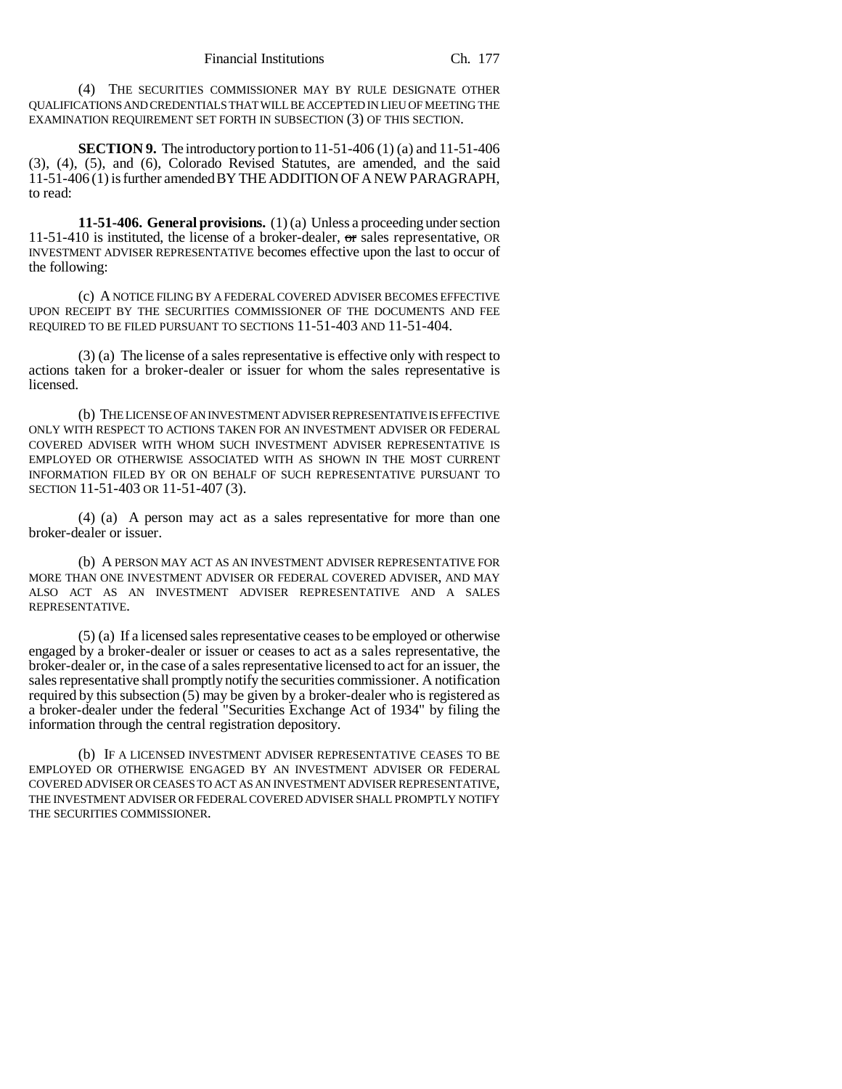(4) THE SECURITIES COMMISSIONER MAY BY RULE DESIGNATE OTHER QUALIFICATIONS AND CREDENTIALS THAT WILL BE ACCEPTED IN LIEU OF MEETING THE EXAMINATION REQUIREMENT SET FORTH IN SUBSECTION (3) OF THIS SECTION.

**SECTION 9.** The introductory portion to 11-51-406 (1) (a) and 11-51-406 (3), (4), (5), and (6), Colorado Revised Statutes, are amended, and the said 11-51-406 (1) is further amended BY THE ADDITION OF A NEW PARAGRAPH, to read:

**11-51-406. General provisions.** (1) (a) Unless a proceeding under section 11-51-410 is instituted, the license of a broker-dealer, or sales representative, OR INVESTMENT ADVISER REPRESENTATIVE becomes effective upon the last to occur of the following:

(c) A NOTICE FILING BY A FEDERAL COVERED ADVISER BECOMES EFFECTIVE UPON RECEIPT BY THE SECURITIES COMMISSIONER OF THE DOCUMENTS AND FEE REQUIRED TO BE FILED PURSUANT TO SECTIONS 11-51-403 AND 11-51-404.

(3) (a) The license of a sales representative is effective only with respect to actions taken for a broker-dealer or issuer for whom the sales representative is licensed.

(b) THE LICENSE OF AN INVESTMENT ADVISER REPRESENTATIVE IS EFFECTIVE ONLY WITH RESPECT TO ACTIONS TAKEN FOR AN INVESTMENT ADVISER OR FEDERAL COVERED ADVISER WITH WHOM SUCH INVESTMENT ADVISER REPRESENTATIVE IS EMPLOYED OR OTHERWISE ASSOCIATED WITH AS SHOWN IN THE MOST CURRENT INFORMATION FILED BY OR ON BEHALF OF SUCH REPRESENTATIVE PURSUANT TO SECTION 11-51-403 OR 11-51-407 (3).

(4) (a) A person may act as a sales representative for more than one broker-dealer or issuer.

(b) A PERSON MAY ACT AS AN INVESTMENT ADVISER REPRESENTATIVE FOR MORE THAN ONE INVESTMENT ADVISER OR FEDERAL COVERED ADVISER, AND MAY ALSO ACT AS AN INVESTMENT ADVISER REPRESENTATIVE AND A SALES REPRESENTATIVE.

(5) (a) If a licensed sales representative ceases to be employed or otherwise engaged by a broker-dealer or issuer or ceases to act as a sales representative, the broker-dealer or, in the case of a sales representative licensed to act for an issuer, the sales representative shall promptly notify the securities commissioner. A notification required by this subsection (5) may be given by a broker-dealer who is registered as a broker-dealer under the federal "Securities Exchange Act of 1934" by filing the information through the central registration depository.

(b) IF A LICENSED INVESTMENT ADVISER REPRESENTATIVE CEASES TO BE EMPLOYED OR OTHERWISE ENGAGED BY AN INVESTMENT ADVISER OR FEDERAL COVERED ADVISER OR CEASES TO ACT AS AN INVESTMENT ADVISER REPRESENTATIVE, THE INVESTMENT ADVISER OR FEDERAL COVERED ADVISER SHALL PROMPTLY NOTIFY THE SECURITIES COMMISSIONER.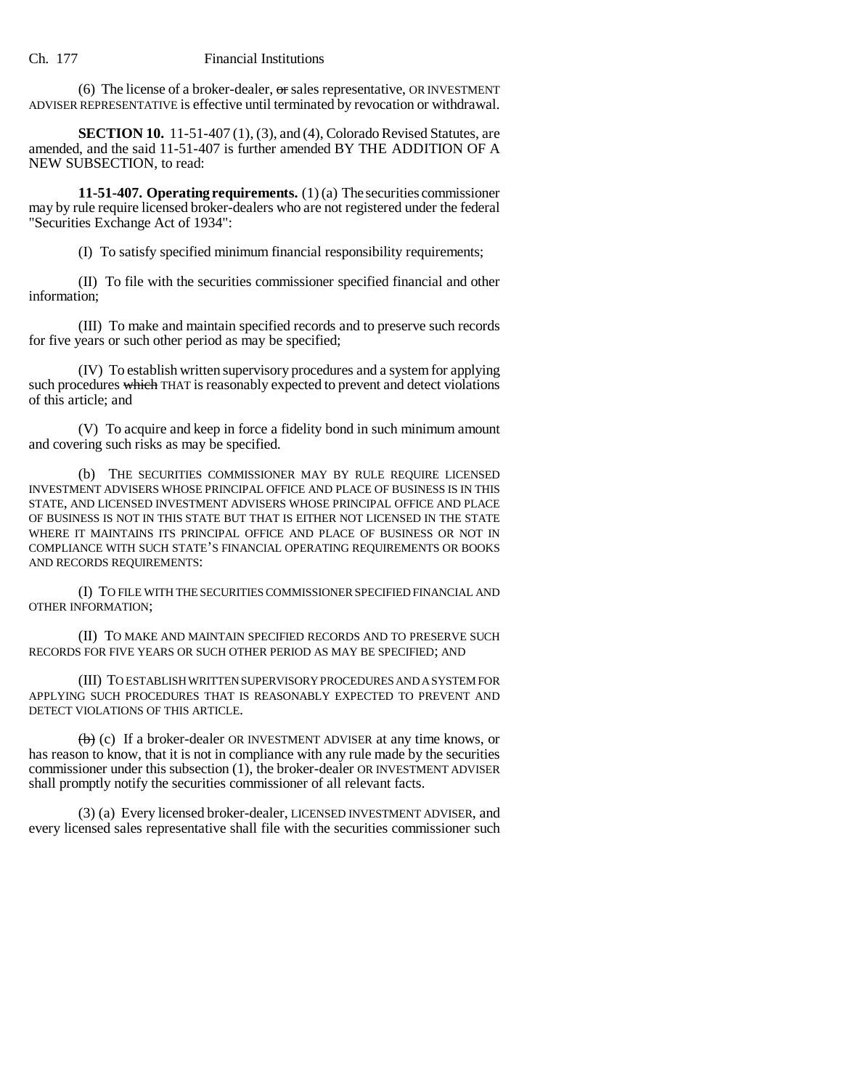(6) The license of a broker-dealer,  $\sigma$  sales representative, OR INVESTMENT ADVISER REPRESENTATIVE is effective until terminated by revocation or withdrawal.

**SECTION 10.** 11-51-407 (1), (3), and (4), Colorado Revised Statutes, are amended, and the said 11-51-407 is further amended BY THE ADDITION OF A NEW SUBSECTION, to read:

**11-51-407. Operating requirements.** (1) (a) The securities commissioner may by rule require licensed broker-dealers who are not registered under the federal "Securities Exchange Act of 1934":

(I) To satisfy specified minimum financial responsibility requirements;

(II) To file with the securities commissioner specified financial and other information;

(III) To make and maintain specified records and to preserve such records for five years or such other period as may be specified;

(IV) To establish written supervisory procedures and a system for applying such procedures which THAT is reasonably expected to prevent and detect violations of this article; and

(V) To acquire and keep in force a fidelity bond in such minimum amount and covering such risks as may be specified.

(b) THE SECURITIES COMMISSIONER MAY BY RULE REQUIRE LICENSED INVESTMENT ADVISERS WHOSE PRINCIPAL OFFICE AND PLACE OF BUSINESS IS IN THIS STATE, AND LICENSED INVESTMENT ADVISERS WHOSE PRINCIPAL OFFICE AND PLACE OF BUSINESS IS NOT IN THIS STATE BUT THAT IS EITHER NOT LICENSED IN THE STATE WHERE IT MAINTAINS ITS PRINCIPAL OFFICE AND PLACE OF BUSINESS OR NOT IN COMPLIANCE WITH SUCH STATE'S FINANCIAL OPERATING REQUIREMENTS OR BOOKS AND RECORDS REQUIREMENTS:

(I) TO FILE WITH THE SECURITIES COMMISSIONER SPECIFIED FINANCIAL AND OTHER INFORMATION;

(II) TO MAKE AND MAINTAIN SPECIFIED RECORDS AND TO PRESERVE SUCH RECORDS FOR FIVE YEARS OR SUCH OTHER PERIOD AS MAY BE SPECIFIED; AND

(III) TO ESTABLISH WRITTEN SUPERVISORY PROCEDURES AND A SYSTEM FOR APPLYING SUCH PROCEDURES THAT IS REASONABLY EXPECTED TO PREVENT AND DETECT VIOLATIONS OF THIS ARTICLE.

 $\left(\frac{b}{b}\right)$  (c) If a broker-dealer OR INVESTMENT ADVISER at any time knows, or has reason to know, that it is not in compliance with any rule made by the securities commissioner under this subsection (1), the broker-dealer OR INVESTMENT ADVISER shall promptly notify the securities commissioner of all relevant facts.

(3) (a) Every licensed broker-dealer, LICENSED INVESTMENT ADVISER, and every licensed sales representative shall file with the securities commissioner such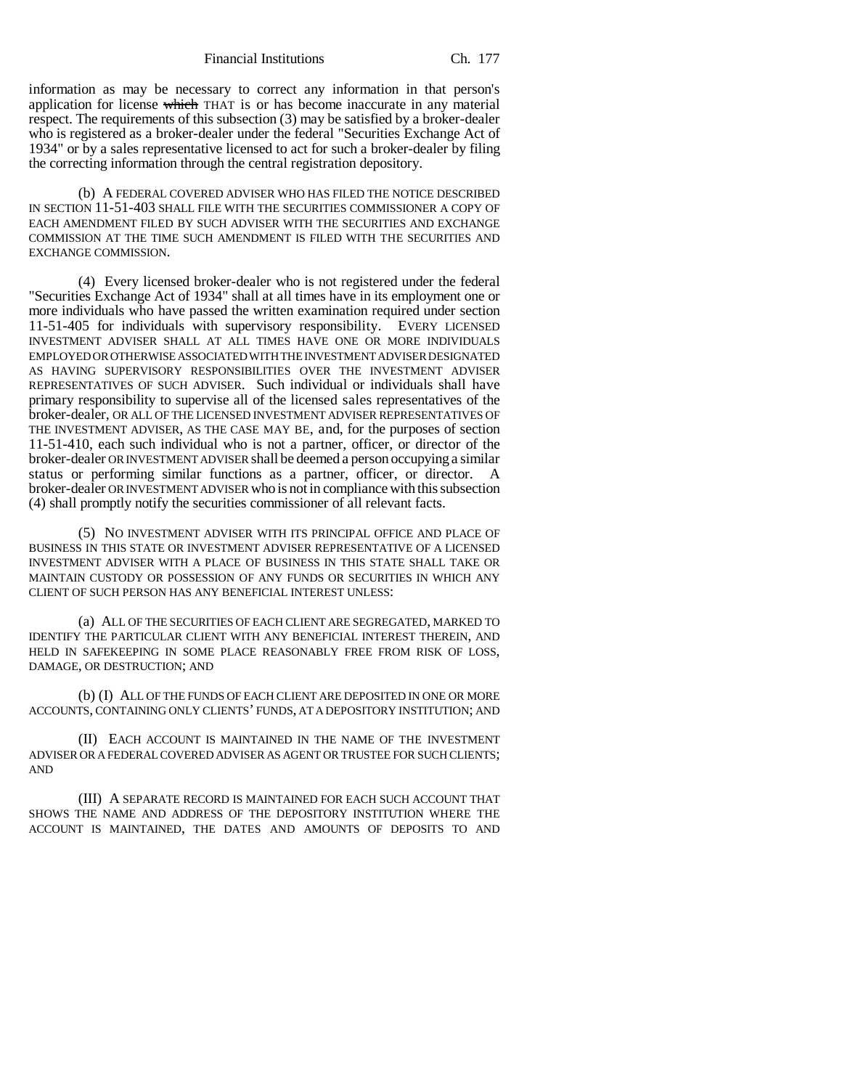Financial Institutions Ch. 177

information as may be necessary to correct any information in that person's application for license which THAT is or has become inaccurate in any material respect. The requirements of this subsection (3) may be satisfied by a broker-dealer who is registered as a broker-dealer under the federal "Securities Exchange Act of 1934" or by a sales representative licensed to act for such a broker-dealer by filing the correcting information through the central registration depository.

(b) A FEDERAL COVERED ADVISER WHO HAS FILED THE NOTICE DESCRIBED IN SECTION 11-51-403 SHALL FILE WITH THE SECURITIES COMMISSIONER A COPY OF EACH AMENDMENT FILED BY SUCH ADVISER WITH THE SECURITIES AND EXCHANGE COMMISSION AT THE TIME SUCH AMENDMENT IS FILED WITH THE SECURITIES AND EXCHANGE COMMISSION.

(4) Every licensed broker-dealer who is not registered under the federal "Securities Exchange Act of 1934" shall at all times have in its employment one or more individuals who have passed the written examination required under section 11-51-405 for individuals with supervisory responsibility. EVERY LICENSED INVESTMENT ADVISER SHALL AT ALL TIMES HAVE ONE OR MORE INDIVIDUALS EMPLOYED OR OTHERWISE ASSOCIATED WITH THE INVESTMENT ADVISER DESIGNATED AS HAVING SUPERVISORY RESPONSIBILITIES OVER THE INVESTMENT ADVISER REPRESENTATIVES OF SUCH ADVISER. Such individual or individuals shall have primary responsibility to supervise all of the licensed sales representatives of the broker-dealer, OR ALL OF THE LICENSED INVESTMENT ADVISER REPRESENTATIVES OF THE INVESTMENT ADVISER, AS THE CASE MAY BE, and, for the purposes of section 11-51-410, each such individual who is not a partner, officer, or director of the broker-dealer OR INVESTMENT ADVISER shall be deemed a person occupying a similar status or performing similar functions as a partner, officer, or director. A broker-dealer OR INVESTMENT ADVISER who is not in compliance with this subsection (4) shall promptly notify the securities commissioner of all relevant facts.

(5) NO INVESTMENT ADVISER WITH ITS PRINCIPAL OFFICE AND PLACE OF BUSINESS IN THIS STATE OR INVESTMENT ADVISER REPRESENTATIVE OF A LICENSED INVESTMENT ADVISER WITH A PLACE OF BUSINESS IN THIS STATE SHALL TAKE OR MAINTAIN CUSTODY OR POSSESSION OF ANY FUNDS OR SECURITIES IN WHICH ANY CLIENT OF SUCH PERSON HAS ANY BENEFICIAL INTEREST UNLESS:

(a) ALL OF THE SECURITIES OF EACH CLIENT ARE SEGREGATED, MARKED TO IDENTIFY THE PARTICULAR CLIENT WITH ANY BENEFICIAL INTEREST THEREIN, AND HELD IN SAFEKEEPING IN SOME PLACE REASONABLY FREE FROM RISK OF LOSS, DAMAGE, OR DESTRUCTION; AND

(b) (I) ALL OF THE FUNDS OF EACH CLIENT ARE DEPOSITED IN ONE OR MORE ACCOUNTS, CONTAINING ONLY CLIENTS' FUNDS, AT A DEPOSITORY INSTITUTION; AND

(II) EACH ACCOUNT IS MAINTAINED IN THE NAME OF THE INVESTMENT ADVISER OR A FEDERAL COVERED ADVISER AS AGENT OR TRUSTEE FOR SUCH CLIENTS; AND

(III) A SEPARATE RECORD IS MAINTAINED FOR EACH SUCH ACCOUNT THAT SHOWS THE NAME AND ADDRESS OF THE DEPOSITORY INSTITUTION WHERE THE ACCOUNT IS MAINTAINED, THE DATES AND AMOUNTS OF DEPOSITS TO AND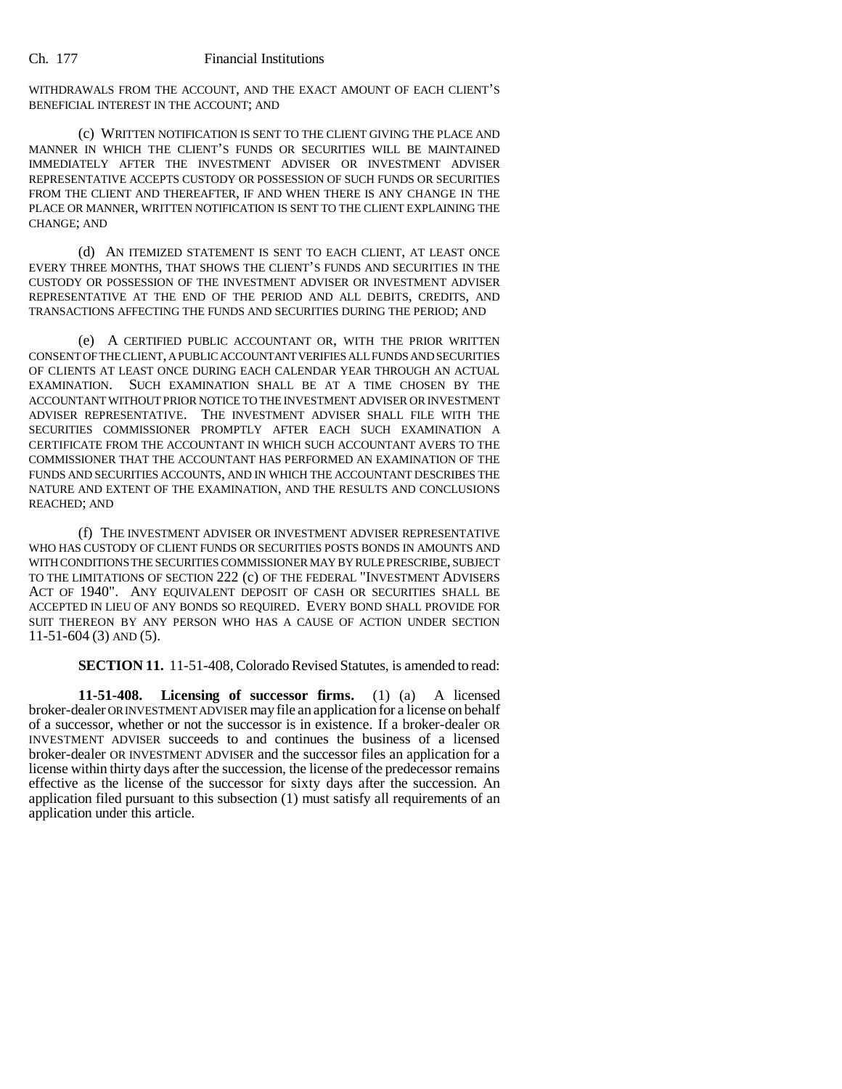WITHDRAWALS FROM THE ACCOUNT, AND THE EXACT AMOUNT OF EACH CLIENT'S BENEFICIAL INTEREST IN THE ACCOUNT; AND

(c) WRITTEN NOTIFICATION IS SENT TO THE CLIENT GIVING THE PLACE AND MANNER IN WHICH THE CLIENT'S FUNDS OR SECURITIES WILL BE MAINTAINED IMMEDIATELY AFTER THE INVESTMENT ADVISER OR INVESTMENT ADVISER REPRESENTATIVE ACCEPTS CUSTODY OR POSSESSION OF SUCH FUNDS OR SECURITIES FROM THE CLIENT AND THEREAFTER, IF AND WHEN THERE IS ANY CHANGE IN THE PLACE OR MANNER, WRITTEN NOTIFICATION IS SENT TO THE CLIENT EXPLAINING THE CHANGE; AND

(d) AN ITEMIZED STATEMENT IS SENT TO EACH CLIENT, AT LEAST ONCE EVERY THREE MONTHS, THAT SHOWS THE CLIENT'S FUNDS AND SECURITIES IN THE CUSTODY OR POSSESSION OF THE INVESTMENT ADVISER OR INVESTMENT ADVISER REPRESENTATIVE AT THE END OF THE PERIOD AND ALL DEBITS, CREDITS, AND TRANSACTIONS AFFECTING THE FUNDS AND SECURITIES DURING THE PERIOD; AND

(e) A CERTIFIED PUBLIC ACCOUNTANT OR, WITH THE PRIOR WRITTEN CONSENT OF THE CLIENT, A PUBLIC ACCOUNTANT VERIFIES ALL FUNDS AND SECURITIES OF CLIENTS AT LEAST ONCE DURING EACH CALENDAR YEAR THROUGH AN ACTUAL EXAMINATION. SUCH EXAMINATION SHALL BE AT A TIME CHOSEN BY THE ACCOUNTANT WITHOUT PRIOR NOTICE TO THE INVESTMENT ADVISER OR INVESTMENT ADVISER REPRESENTATIVE. THE INVESTMENT ADVISER SHALL FILE WITH THE SECURITIES COMMISSIONER PROMPTLY AFTER EACH SUCH EXAMINATION A CERTIFICATE FROM THE ACCOUNTANT IN WHICH SUCH ACCOUNTANT AVERS TO THE COMMISSIONER THAT THE ACCOUNTANT HAS PERFORMED AN EXAMINATION OF THE FUNDS AND SECURITIES ACCOUNTS, AND IN WHICH THE ACCOUNTANT DESCRIBES THE NATURE AND EXTENT OF THE EXAMINATION, AND THE RESULTS AND CONCLUSIONS REACHED; AND

(f) THE INVESTMENT ADVISER OR INVESTMENT ADVISER REPRESENTATIVE WHO HAS CUSTODY OF CLIENT FUNDS OR SECURITIES POSTS BONDS IN AMOUNTS AND WITH CONDITIONS THE SECURITIES COMMISSIONER MAY BY RULE PRESCRIBE, SUBJECT TO THE LIMITATIONS OF SECTION 222 (c) OF THE FEDERAL "INVESTMENT ADVISERS ACT OF 1940". ANY EQUIVALENT DEPOSIT OF CASH OR SECURITIES SHALL BE ACCEPTED IN LIEU OF ANY BONDS SO REQUIRED. EVERY BOND SHALL PROVIDE FOR SUIT THEREON BY ANY PERSON WHO HAS A CAUSE OF ACTION UNDER SECTION 11-51-604 (3) AND (5).

**SECTION 11.** 11-51-408, Colorado Revised Statutes, is amended to read:

**11-51-408. Licensing of successor firms.** (1) (a) A licensed broker-dealer OR INVESTMENT ADVISER may file an application for a license on behalf of a successor, whether or not the successor is in existence. If a broker-dealer OR INVESTMENT ADVISER succeeds to and continues the business of a licensed broker-dealer OR INVESTMENT ADVISER and the successor files an application for a license within thirty days after the succession, the license of the predecessor remains effective as the license of the successor for sixty days after the succession. An application filed pursuant to this subsection (1) must satisfy all requirements of an application under this article.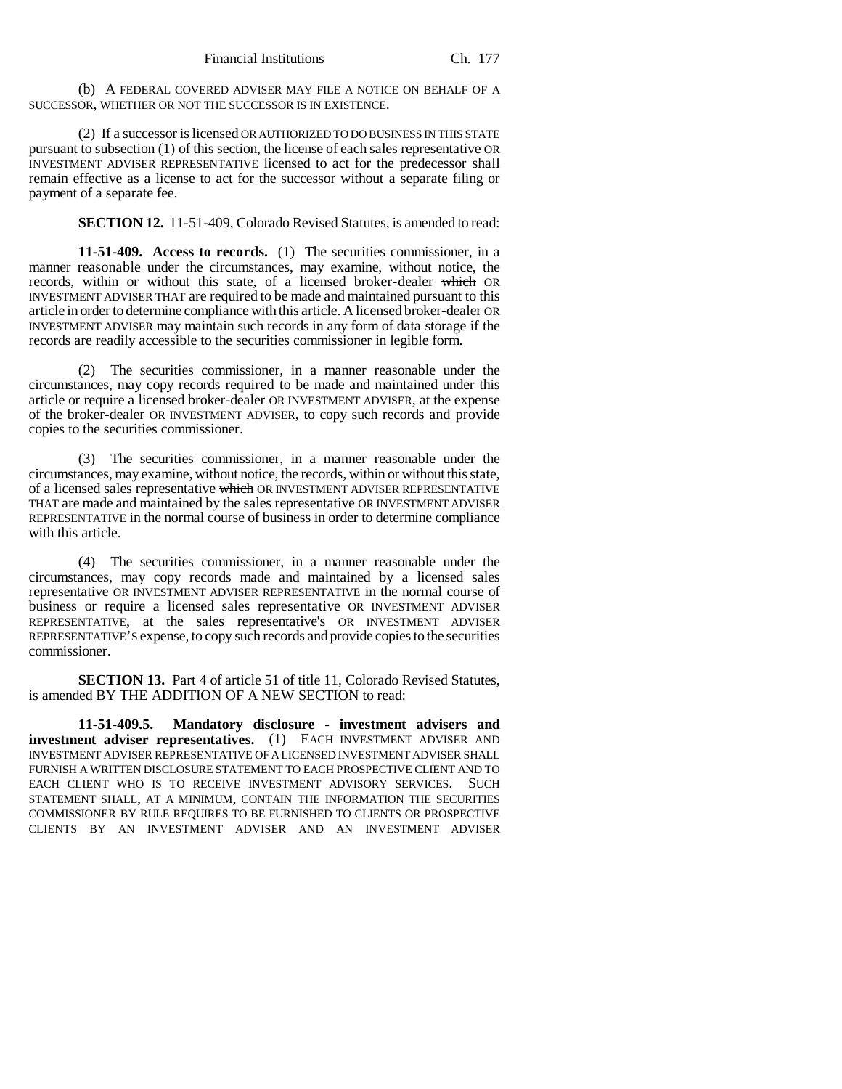(b) A FEDERAL COVERED ADVISER MAY FILE A NOTICE ON BEHALF OF A SUCCESSOR, WHETHER OR NOT THE SUCCESSOR IS IN EXISTENCE.

(2) If a successor is licensed OR AUTHORIZED TO DO BUSINESS IN THIS STATE pursuant to subsection (1) of this section, the license of each sales representative OR INVESTMENT ADVISER REPRESENTATIVE licensed to act for the predecessor shall remain effective as a license to act for the successor without a separate filing or payment of a separate fee.

**SECTION 12.** 11-51-409, Colorado Revised Statutes, is amended to read:

**11-51-409. Access to records.** (1) The securities commissioner, in a manner reasonable under the circumstances, may examine, without notice, the records, within or without this state, of a licensed broker-dealer which OR INVESTMENT ADVISER THAT are required to be made and maintained pursuant to this article in order to determine compliance with this article. A licensed broker-dealer OR INVESTMENT ADVISER may maintain such records in any form of data storage if the records are readily accessible to the securities commissioner in legible form.

(2) The securities commissioner, in a manner reasonable under the circumstances, may copy records required to be made and maintained under this article or require a licensed broker-dealer OR INVESTMENT ADVISER, at the expense of the broker-dealer OR INVESTMENT ADVISER, to copy such records and provide copies to the securities commissioner.

(3) The securities commissioner, in a manner reasonable under the circumstances, may examine, without notice, the records, within or without this state, of a licensed sales representative which OR INVESTMENT ADVISER REPRESENTATIVE THAT are made and maintained by the sales representative OR INVESTMENT ADVISER REPRESENTATIVE in the normal course of business in order to determine compliance with this article.

(4) The securities commissioner, in a manner reasonable under the circumstances, may copy records made and maintained by a licensed sales representative OR INVESTMENT ADVISER REPRESENTATIVE in the normal course of business or require a licensed sales representative OR INVESTMENT ADVISER REPRESENTATIVE, at the sales representative's OR INVESTMENT ADVISER REPRESENTATIVE'S expense, to copy such records and provide copies to the securities commissioner.

**SECTION 13.** Part 4 of article 51 of title 11, Colorado Revised Statutes, is amended BY THE ADDITION OF A NEW SECTION to read:

**11-51-409.5. Mandatory disclosure - investment advisers and investment adviser representatives.** (1) EACH INVESTMENT ADVISER AND INVESTMENT ADVISER REPRESENTATIVE OF A LICENSED INVESTMENT ADVISER SHALL FURNISH A WRITTEN DISCLOSURE STATEMENT TO EACH PROSPECTIVE CLIENT AND TO EACH CLIENT WHO IS TO RECEIVE INVESTMENT ADVISORY SERVICES. SUCH STATEMENT SHALL, AT A MINIMUM, CONTAIN THE INFORMATION THE SECURITIES COMMISSIONER BY RULE REQUIRES TO BE FURNISHED TO CLIENTS OR PROSPECTIVE CLIENTS BY AN INVESTMENT ADVISER AND AN INVESTMENT ADVISER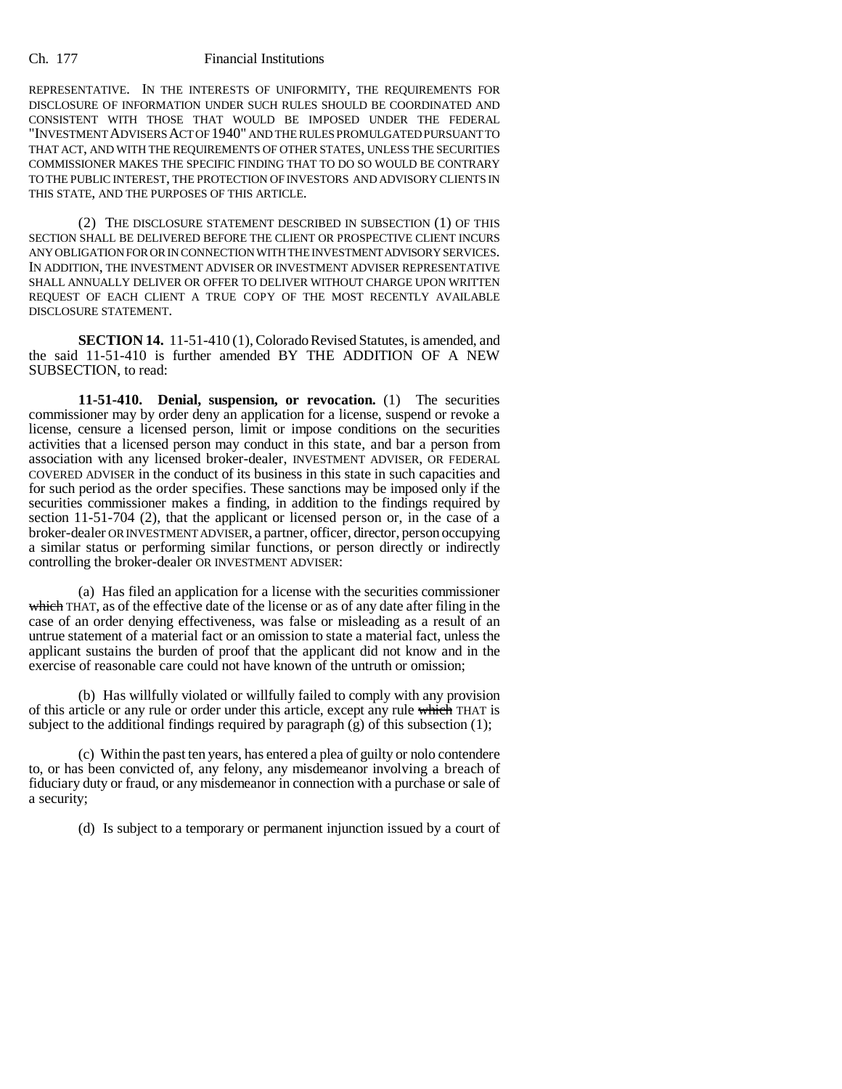REPRESENTATIVE. IN THE INTERESTS OF UNIFORMITY, THE REQUIREMENTS FOR DISCLOSURE OF INFORMATION UNDER SUCH RULES SHOULD BE COORDINATED AND CONSISTENT WITH THOSE THAT WOULD BE IMPOSED UNDER THE FEDERAL "INVESTMENT ADVISERS ACT OF 1940" AND THE RULES PROMULGATED PURSUANT TO THAT ACT, AND WITH THE REQUIREMENTS OF OTHER STATES, UNLESS THE SECURITIES COMMISSIONER MAKES THE SPECIFIC FINDING THAT TO DO SO WOULD BE CONTRARY TO THE PUBLIC INTEREST, THE PROTECTION OF INVESTORS AND ADVISORY CLIENTS IN THIS STATE, AND THE PURPOSES OF THIS ARTICLE.

(2) THE DISCLOSURE STATEMENT DESCRIBED IN SUBSECTION (1) OF THIS SECTION SHALL BE DELIVERED BEFORE THE CLIENT OR PROSPECTIVE CLIENT INCURS ANY OBLIGATION FOR OR IN CONNECTION WITH THE INVESTMENT ADVISORY SERVICES. IN ADDITION, THE INVESTMENT ADVISER OR INVESTMENT ADVISER REPRESENTATIVE SHALL ANNUALLY DELIVER OR OFFER TO DELIVER WITHOUT CHARGE UPON WRITTEN REQUEST OF EACH CLIENT A TRUE COPY OF THE MOST RECENTLY AVAILABLE DISCLOSURE STATEMENT.

**SECTION 14.** 11-51-410 (1), Colorado Revised Statutes, is amended, and the said 11-51-410 is further amended BY THE ADDITION OF A NEW SUBSECTION, to read:

**11-51-410. Denial, suspension, or revocation.** (1) The securities commissioner may by order deny an application for a license, suspend or revoke a license, censure a licensed person, limit or impose conditions on the securities activities that a licensed person may conduct in this state, and bar a person from association with any licensed broker-dealer, INVESTMENT ADVISER, OR FEDERAL COVERED ADVISER in the conduct of its business in this state in such capacities and for such period as the order specifies. These sanctions may be imposed only if the securities commissioner makes a finding, in addition to the findings required by section 11-51-704 (2), that the applicant or licensed person or, in the case of a broker-dealer OR INVESTMENT ADVISER, a partner, officer, director, person occupying a similar status or performing similar functions, or person directly or indirectly controlling the broker-dealer OR INVESTMENT ADVISER:

(a) Has filed an application for a license with the securities commissioner which THAT, as of the effective date of the license or as of any date after filing in the case of an order denying effectiveness, was false or misleading as a result of an untrue statement of a material fact or an omission to state a material fact, unless the applicant sustains the burden of proof that the applicant did not know and in the exercise of reasonable care could not have known of the untruth or omission;

(b) Has willfully violated or willfully failed to comply with any provision of this article or any rule or order under this article, except any rule which THAT is subject to the additional findings required by paragraph  $(g)$  of this subsection (1);

(c) Within the past ten years, has entered a plea of guilty or nolo contendere to, or has been convicted of, any felony, any misdemeanor involving a breach of fiduciary duty or fraud, or any misdemeanor in connection with a purchase or sale of a security;

(d) Is subject to a temporary or permanent injunction issued by a court of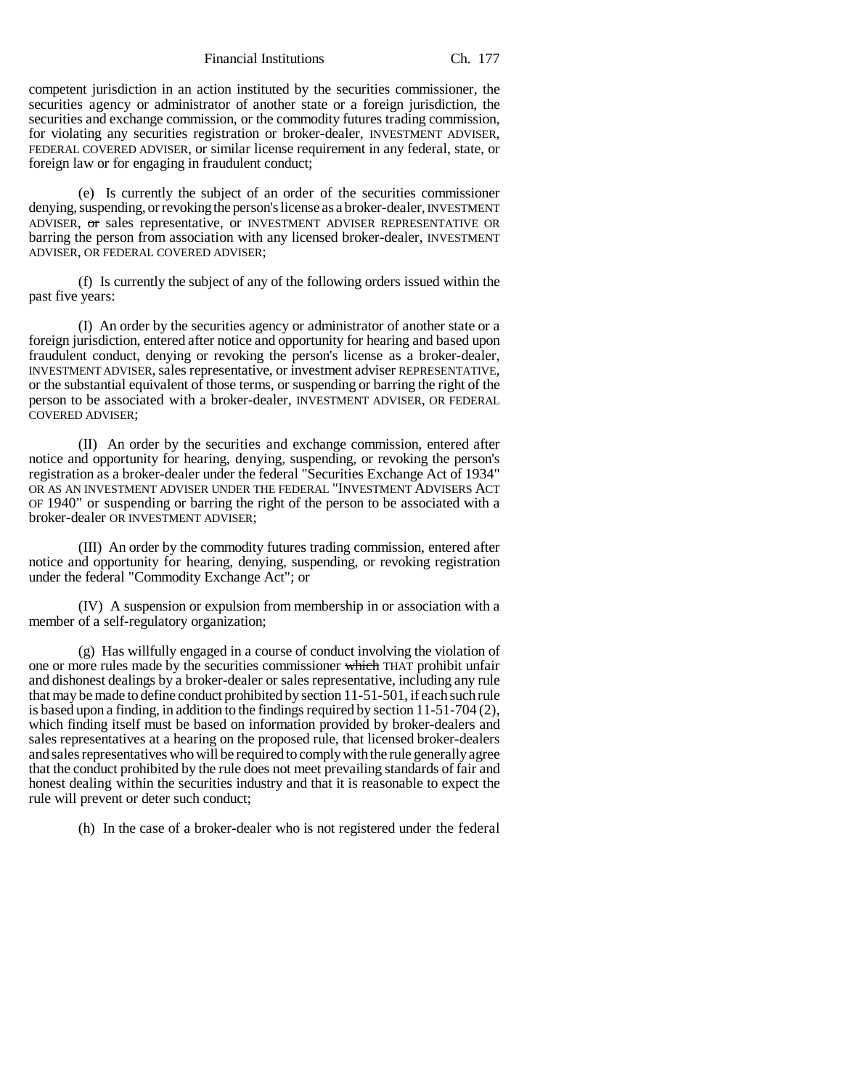Financial Institutions Ch. 177

competent jurisdiction in an action instituted by the securities commissioner, the securities agency or administrator of another state or a foreign jurisdiction, the securities and exchange commission, or the commodity futures trading commission, for violating any securities registration or broker-dealer, INVESTMENT ADVISER, FEDERAL COVERED ADVISER, or similar license requirement in any federal, state, or foreign law or for engaging in fraudulent conduct;

(e) Is currently the subject of an order of the securities commissioner denying, suspending, or revoking the person's license as a broker-dealer, INVESTMENT ADVISER, or sales representative, or INVESTMENT ADVISER REPRESENTATIVE OR barring the person from association with any licensed broker-dealer, INVESTMENT ADVISER, OR FEDERAL COVERED ADVISER;

(f) Is currently the subject of any of the following orders issued within the past five years:

(I) An order by the securities agency or administrator of another state or a foreign jurisdiction, entered after notice and opportunity for hearing and based upon fraudulent conduct, denying or revoking the person's license as a broker-dealer, INVESTMENT ADVISER, sales representative, or investment adviser REPRESENTATIVE, or the substantial equivalent of those terms, or suspending or barring the right of the person to be associated with a broker-dealer, INVESTMENT ADVISER, OR FEDERAL COVERED ADVISER;

(II) An order by the securities and exchange commission, entered after notice and opportunity for hearing, denying, suspending, or revoking the person's registration as a broker-dealer under the federal "Securities Exchange Act of 1934" OR AS AN INVESTMENT ADVISER UNDER THE FEDERAL "INVESTMENT ADVISERS ACT OF 1940" or suspending or barring the right of the person to be associated with a broker-dealer OR INVESTMENT ADVISER;

(III) An order by the commodity futures trading commission, entered after notice and opportunity for hearing, denying, suspending, or revoking registration under the federal "Commodity Exchange Act"; or

(IV) A suspension or expulsion from membership in or association with a member of a self-regulatory organization;

(g) Has willfully engaged in a course of conduct involving the violation of one or more rules made by the securities commissioner which THAT prohibit unfair and dishonest dealings by a broker-dealer or sales representative, including any rule that may be made to define conduct prohibited by section 11-51-501, if each such rule is based upon a finding, in addition to the findings required by section 11-51-704 (2), which finding itself must be based on information provided by broker-dealers and sales representatives at a hearing on the proposed rule, that licensed broker-dealers and sales representatives who will be required to comply with the rule generally agree that the conduct prohibited by the rule does not meet prevailing standards of fair and honest dealing within the securities industry and that it is reasonable to expect the rule will prevent or deter such conduct;

(h) In the case of a broker-dealer who is not registered under the federal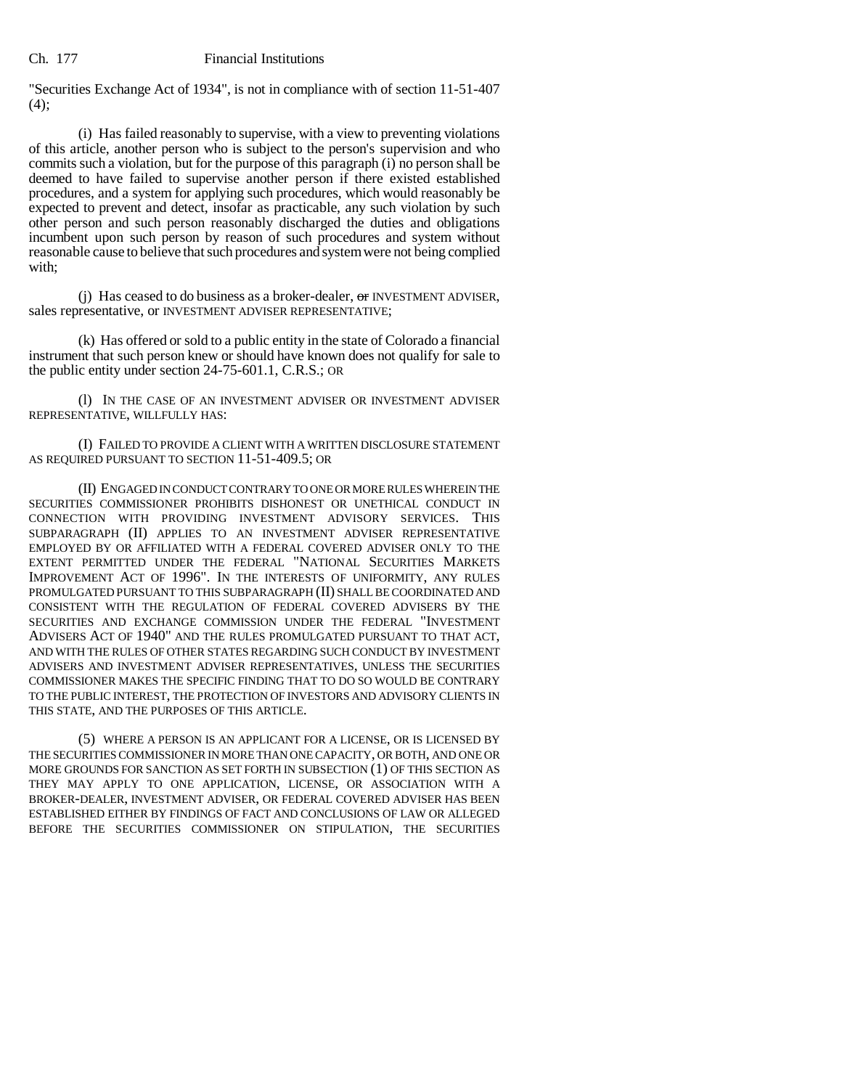"Securities Exchange Act of 1934", is not in compliance with of section 11-51-407  $(4)$ ;

(i) Has failed reasonably to supervise, with a view to preventing violations of this article, another person who is subject to the person's supervision and who commits such a violation, but for the purpose of this paragraph (i) no person shall be deemed to have failed to supervise another person if there existed established procedures, and a system for applying such procedures, which would reasonably be expected to prevent and detect, insofar as practicable, any such violation by such other person and such person reasonably discharged the duties and obligations incumbent upon such person by reason of such procedures and system without reasonable cause to believe that such procedures and system were not being complied with;

(i) Has ceased to do business as a broker-dealer,  $\sigma$  INVESTMENT ADVISER, sales representative, or INVESTMENT ADVISER REPRESENTATIVE;

(k) Has offered or sold to a public entity in the state of Colorado a financial instrument that such person knew or should have known does not qualify for sale to the public entity under section 24-75-601.1, C.R.S.; OR

(l) IN THE CASE OF AN INVESTMENT ADVISER OR INVESTMENT ADVISER REPRESENTATIVE, WILLFULLY HAS:

(I) FAILED TO PROVIDE A CLIENT WITH A WRITTEN DISCLOSURE STATEMENT AS REQUIRED PURSUANT TO SECTION 11-51-409.5; OR

(II) ENGAGED IN CONDUCT CONTRARY TO ONE OR MORE RULES WHEREIN THE SECURITIES COMMISSIONER PROHIBITS DISHONEST OR UNETHICAL CONDUCT IN CONNECTION WITH PROVIDING INVESTMENT ADVISORY SERVICES. THIS SUBPARAGRAPH (II) APPLIES TO AN INVESTMENT ADVISER REPRESENTATIVE EMPLOYED BY OR AFFILIATED WITH A FEDERAL COVERED ADVISER ONLY TO THE EXTENT PERMITTED UNDER THE FEDERAL "NATIONAL SECURITIES MARKETS IMPROVEMENT ACT OF 1996". IN THE INTERESTS OF UNIFORMITY, ANY RULES PROMULGATED PURSUANT TO THIS SUBPARAGRAPH (II) SHALL BE COORDINATED AND CONSISTENT WITH THE REGULATION OF FEDERAL COVERED ADVISERS BY THE SECURITIES AND EXCHANGE COMMISSION UNDER THE FEDERAL "INVESTMENT ADVISERS ACT OF 1940" AND THE RULES PROMULGATED PURSUANT TO THAT ACT, AND WITH THE RULES OF OTHER STATES REGARDING SUCH CONDUCT BY INVESTMENT ADVISERS AND INVESTMENT ADVISER REPRESENTATIVES, UNLESS THE SECURITIES COMMISSIONER MAKES THE SPECIFIC FINDING THAT TO DO SO WOULD BE CONTRARY TO THE PUBLIC INTEREST, THE PROTECTION OF INVESTORS AND ADVISORY CLIENTS IN THIS STATE, AND THE PURPOSES OF THIS ARTICLE.

(5) WHERE A PERSON IS AN APPLICANT FOR A LICENSE, OR IS LICENSED BY THE SECURITIES COMMISSIONER IN MORE THAN ONE CAPACITY, OR BOTH, AND ONE OR MORE GROUNDS FOR SANCTION AS SET FORTH IN SUBSECTION (1) OF THIS SECTION AS THEY MAY APPLY TO ONE APPLICATION, LICENSE, OR ASSOCIATION WITH A BROKER-DEALER, INVESTMENT ADVISER, OR FEDERAL COVERED ADVISER HAS BEEN ESTABLISHED EITHER BY FINDINGS OF FACT AND CONCLUSIONS OF LAW OR ALLEGED BEFORE THE SECURITIES COMMISSIONER ON STIPULATION, THE SECURITIES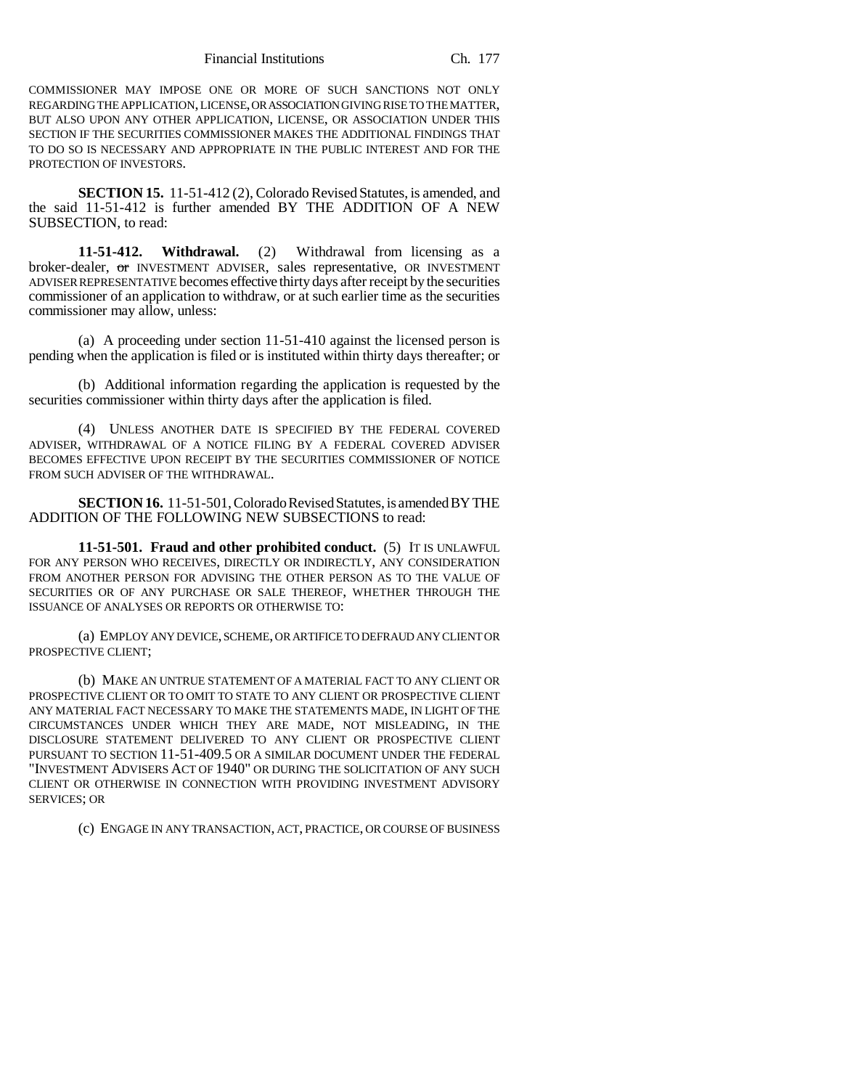Financial Institutions Ch. 177

COMMISSIONER MAY IMPOSE ONE OR MORE OF SUCH SANCTIONS NOT ONLY REGARDING THE APPLICATION, LICENSE, OR ASSOCIATION GIVING RISE TO THE MATTER, BUT ALSO UPON ANY OTHER APPLICATION, LICENSE, OR ASSOCIATION UNDER THIS SECTION IF THE SECURITIES COMMISSIONER MAKES THE ADDITIONAL FINDINGS THAT TO DO SO IS NECESSARY AND APPROPRIATE IN THE PUBLIC INTEREST AND FOR THE PROTECTION OF INVESTORS.

**SECTION 15.** 11-51-412 (2), Colorado Revised Statutes, is amended, and the said 11-51-412 is further amended BY THE ADDITION OF A NEW SUBSECTION, to read:

**11-51-412. Withdrawal.** (2) Withdrawal from licensing as a broker-dealer, or INVESTMENT ADVISER, sales representative, OR INVESTMENT ADVISER REPRESENTATIVE becomes effective thirty days after receipt by the securities commissioner of an application to withdraw, or at such earlier time as the securities commissioner may allow, unless:

(a) A proceeding under section 11-51-410 against the licensed person is pending when the application is filed or is instituted within thirty days thereafter; or

(b) Additional information regarding the application is requested by the securities commissioner within thirty days after the application is filed.

(4) UNLESS ANOTHER DATE IS SPECIFIED BY THE FEDERAL COVERED ADVISER, WITHDRAWAL OF A NOTICE FILING BY A FEDERAL COVERED ADVISER BECOMES EFFECTIVE UPON RECEIPT BY THE SECURITIES COMMISSIONER OF NOTICE FROM SUCH ADVISER OF THE WITHDRAWAL.

**SECTION 16.** 11-51-501, Colorado Revised Statutes, is amended BY THE ADDITION OF THE FOLLOWING NEW SUBSECTIONS to read:

**11-51-501. Fraud and other prohibited conduct.** (5) IT IS UNLAWFUL FOR ANY PERSON WHO RECEIVES, DIRECTLY OR INDIRECTLY, ANY CONSIDERATION FROM ANOTHER PERSON FOR ADVISING THE OTHER PERSON AS TO THE VALUE OF SECURITIES OR OF ANY PURCHASE OR SALE THEREOF, WHETHER THROUGH THE ISSUANCE OF ANALYSES OR REPORTS OR OTHERWISE TO:

(a) EMPLOY ANY DEVICE, SCHEME, OR ARTIFICE TO DEFRAUD ANY CLIENT OR PROSPECTIVE CLIENT;

(b) MAKE AN UNTRUE STATEMENT OF A MATERIAL FACT TO ANY CLIENT OR PROSPECTIVE CLIENT OR TO OMIT TO STATE TO ANY CLIENT OR PROSPECTIVE CLIENT ANY MATERIAL FACT NECESSARY TO MAKE THE STATEMENTS MADE, IN LIGHT OF THE CIRCUMSTANCES UNDER WHICH THEY ARE MADE, NOT MISLEADING, IN THE DISCLOSURE STATEMENT DELIVERED TO ANY CLIENT OR PROSPECTIVE CLIENT PURSUANT TO SECTION 11-51-409.5 OR A SIMILAR DOCUMENT UNDER THE FEDERAL "INVESTMENT ADVISERS ACT OF 1940" OR DURING THE SOLICITATION OF ANY SUCH CLIENT OR OTHERWISE IN CONNECTION WITH PROVIDING INVESTMENT ADVISORY SERVICES; OR

(c) ENGAGE IN ANY TRANSACTION, ACT, PRACTICE, OR COURSE OF BUSINESS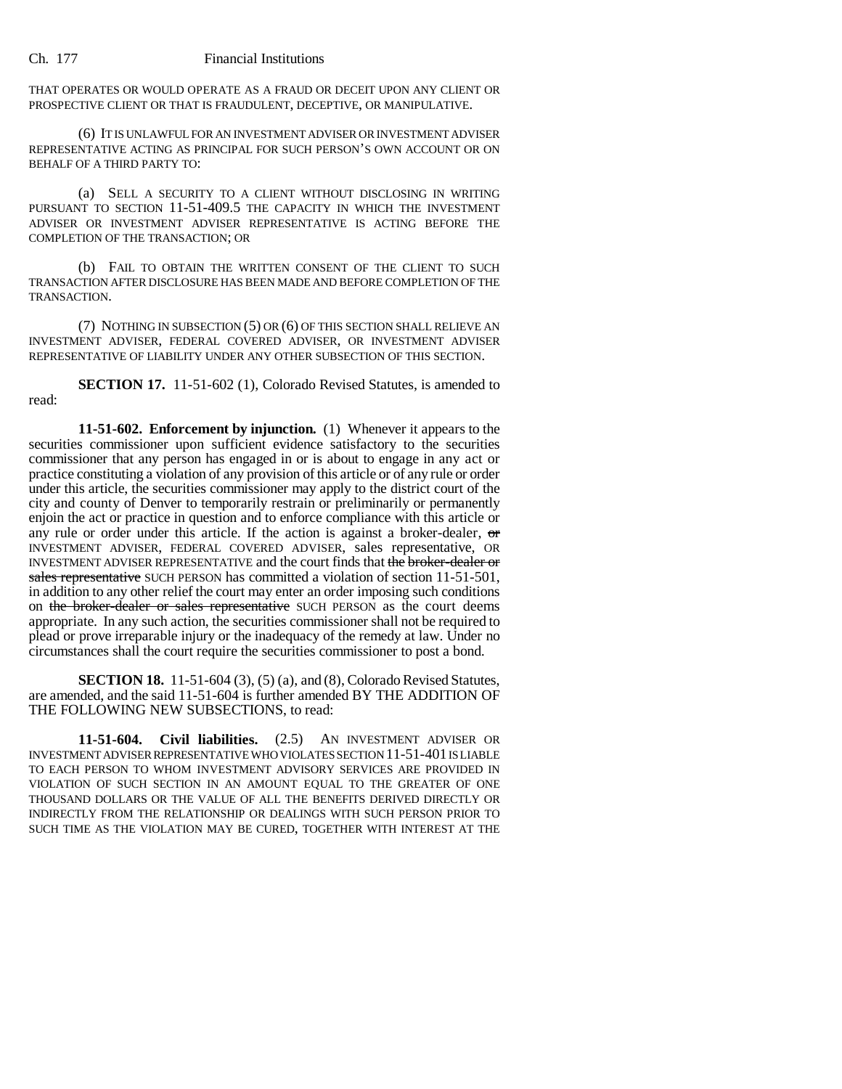THAT OPERATES OR WOULD OPERATE AS A FRAUD OR DECEIT UPON ANY CLIENT OR PROSPECTIVE CLIENT OR THAT IS FRAUDULENT, DECEPTIVE, OR MANIPULATIVE.

(6) IT IS UNLAWFUL FOR AN INVESTMENT ADVISER OR INVESTMENT ADVISER REPRESENTATIVE ACTING AS PRINCIPAL FOR SUCH PERSON'S OWN ACCOUNT OR ON BEHALF OF A THIRD PARTY TO:

(a) SELL A SECURITY TO A CLIENT WITHOUT DISCLOSING IN WRITING PURSUANT TO SECTION 11-51-409.5 THE CAPACITY IN WHICH THE INVESTMENT ADVISER OR INVESTMENT ADVISER REPRESENTATIVE IS ACTING BEFORE THE COMPLETION OF THE TRANSACTION; OR

(b) FAIL TO OBTAIN THE WRITTEN CONSENT OF THE CLIENT TO SUCH TRANSACTION AFTER DISCLOSURE HAS BEEN MADE AND BEFORE COMPLETION OF THE TRANSACTION.

(7) NOTHING IN SUBSECTION (5) OR (6) OF THIS SECTION SHALL RELIEVE AN INVESTMENT ADVISER, FEDERAL COVERED ADVISER, OR INVESTMENT ADVISER REPRESENTATIVE OF LIABILITY UNDER ANY OTHER SUBSECTION OF THIS SECTION.

**SECTION 17.** 11-51-602 (1), Colorado Revised Statutes, is amended to read:

**11-51-602. Enforcement by injunction.** (1) Whenever it appears to the securities commissioner upon sufficient evidence satisfactory to the securities commissioner that any person has engaged in or is about to engage in any act or practice constituting a violation of any provision of this article or of any rule or order under this article, the securities commissioner may apply to the district court of the city and county of Denver to temporarily restrain or preliminarily or permanently enjoin the act or practice in question and to enforce compliance with this article or any rule or order under this article. If the action is against a broker-dealer, or INVESTMENT ADVISER, FEDERAL COVERED ADVISER, sales representative, OR INVESTMENT ADVISER REPRESENTATIVE and the court finds that the broker-dealer or sales representative SUCH PERSON has committed a violation of section 11-51-501, in addition to any other relief the court may enter an order imposing such conditions on the broker-dealer or sales representative SUCH PERSON as the court deems appropriate. In any such action, the securities commissioner shall not be required to plead or prove irreparable injury or the inadequacy of the remedy at law. Under no circumstances shall the court require the securities commissioner to post a bond.

**SECTION 18.** 11-51-604 (3), (5) (a), and (8), Colorado Revised Statutes, are amended, and the said 11-51-604 is further amended BY THE ADDITION OF THE FOLLOWING NEW SUBSECTIONS, to read:

**11-51-604. Civil liabilities.** (2.5) AN INVESTMENT ADVISER OR INVESTMENT ADVISER REPRESENTATIVE WHO VIOLATES SECTION 11-51-401 IS LIABLE TO EACH PERSON TO WHOM INVESTMENT ADVISORY SERVICES ARE PROVIDED IN VIOLATION OF SUCH SECTION IN AN AMOUNT EQUAL TO THE GREATER OF ONE THOUSAND DOLLARS OR THE VALUE OF ALL THE BENEFITS DERIVED DIRECTLY OR INDIRECTLY FROM THE RELATIONSHIP OR DEALINGS WITH SUCH PERSON PRIOR TO SUCH TIME AS THE VIOLATION MAY BE CURED, TOGETHER WITH INTEREST AT THE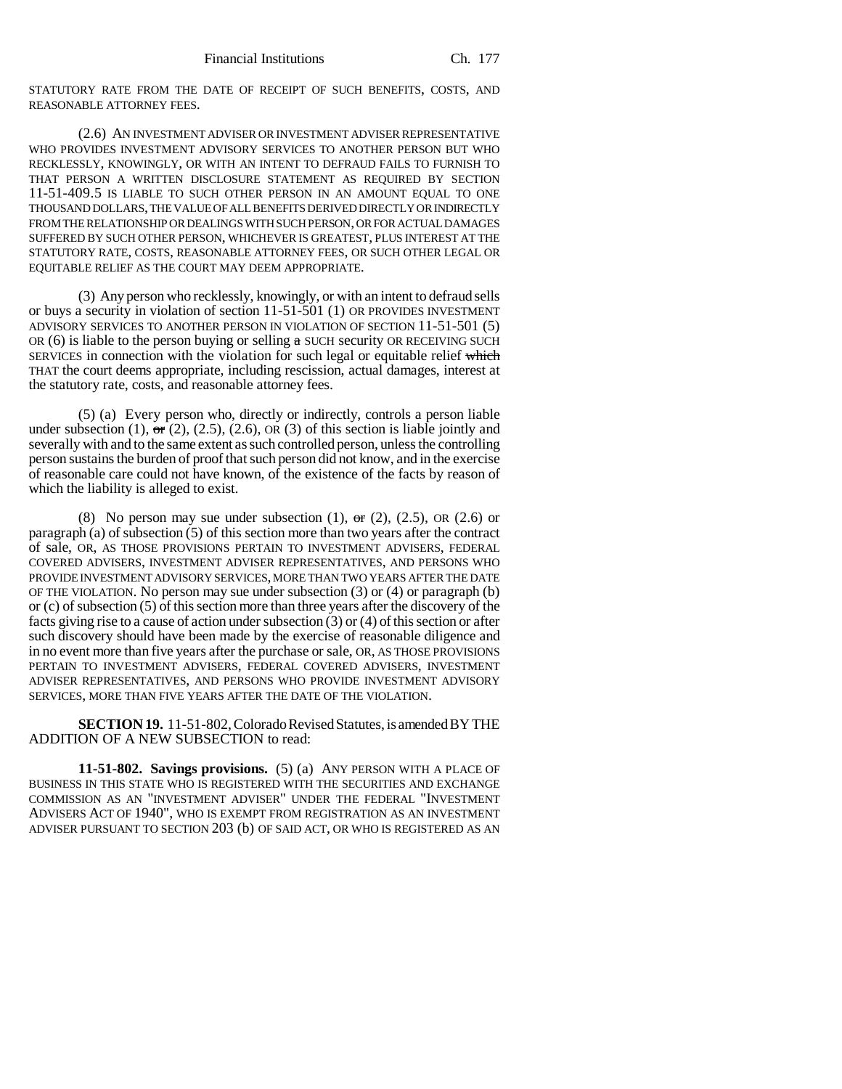STATUTORY RATE FROM THE DATE OF RECEIPT OF SUCH BENEFITS, COSTS, AND REASONABLE ATTORNEY FEES.

(2.6) AN INVESTMENT ADVISER OR INVESTMENT ADVISER REPRESENTATIVE WHO PROVIDES INVESTMENT ADVISORY SERVICES TO ANOTHER PERSON BUT WHO RECKLESSLY, KNOWINGLY, OR WITH AN INTENT TO DEFRAUD FAILS TO FURNISH TO THAT PERSON A WRITTEN DISCLOSURE STATEMENT AS REQUIRED BY SECTION 11-51-409.5 IS LIABLE TO SUCH OTHER PERSON IN AN AMOUNT EQUAL TO ONE THOUSAND DOLLARS, THE VALUE OF ALL BENEFITS DERIVED DIRECTLY OR INDIRECTLY FROM THE RELATIONSHIP OR DEALINGS WITH SUCH PERSON, OR FOR ACTUAL DAMAGES SUFFERED BY SUCH OTHER PERSON, WHICHEVER IS GREATEST, PLUS INTEREST AT THE STATUTORY RATE, COSTS, REASONABLE ATTORNEY FEES, OR SUCH OTHER LEGAL OR EQUITABLE RELIEF AS THE COURT MAY DEEM APPROPRIATE.

(3) Any person who recklessly, knowingly, or with an intent to defraud sells or buys a security in violation of section 11-51-501 (1) OR PROVIDES INVESTMENT ADVISORY SERVICES TO ANOTHER PERSON IN VIOLATION OF SECTION 11-51-501 (5) OR  $(6)$  is liable to the person buying or selling  $\alpha$  SUCH security OR RECEIVING SUCH SERVICES in connection with the violation for such legal or equitable relief which THAT the court deems appropriate, including rescission, actual damages, interest at the statutory rate, costs, and reasonable attorney fees.

(5) (a) Every person who, directly or indirectly, controls a person liable under subsection (1), or (2), (2.5), (2.6), OR (3) of this section is liable jointly and severally with and to the same extent as such controlled person, unless the controlling person sustains the burden of proof that such person did not know, and in the exercise of reasonable care could not have known, of the existence of the facts by reason of which the liability is alleged to exist.

(8) No person may sue under subsection (1),  $\sigma$ r (2), (2.5), OR (2.6) or paragraph (a) of subsection (5) of this section more than two years after the contract of sale, OR, AS THOSE PROVISIONS PERTAIN TO INVESTMENT ADVISERS, FEDERAL COVERED ADVISERS, INVESTMENT ADVISER REPRESENTATIVES, AND PERSONS WHO PROVIDE INVESTMENT ADVISORY SERVICES, MORE THAN TWO YEARS AFTER THE DATE OF THE VIOLATION. No person may sue under subsection (3) or (4) or paragraph (b) or (c) of subsection (5) of this section more than three years after the discovery of the facts giving rise to a cause of action under subsection (3) or (4) of this section or after such discovery should have been made by the exercise of reasonable diligence and in no event more than five years after the purchase or sale, OR, AS THOSE PROVISIONS PERTAIN TO INVESTMENT ADVISERS, FEDERAL COVERED ADVISERS, INVESTMENT ADVISER REPRESENTATIVES, AND PERSONS WHO PROVIDE INVESTMENT ADVISORY SERVICES, MORE THAN FIVE YEARS AFTER THE DATE OF THE VIOLATION.

**SECTION 19.** 11-51-802, Colorado Revised Statutes, is amended BY THE ADDITION OF A NEW SUBSECTION to read:

**11-51-802. Savings provisions.** (5) (a) ANY PERSON WITH A PLACE OF BUSINESS IN THIS STATE WHO IS REGISTERED WITH THE SECURITIES AND EXCHANGE COMMISSION AS AN "INVESTMENT ADVISER" UNDER THE FEDERAL "INVESTMENT ADVISERS ACT OF 1940", WHO IS EXEMPT FROM REGISTRATION AS AN INVESTMENT ADVISER PURSUANT TO SECTION 203 (b) OF SAID ACT, OR WHO IS REGISTERED AS AN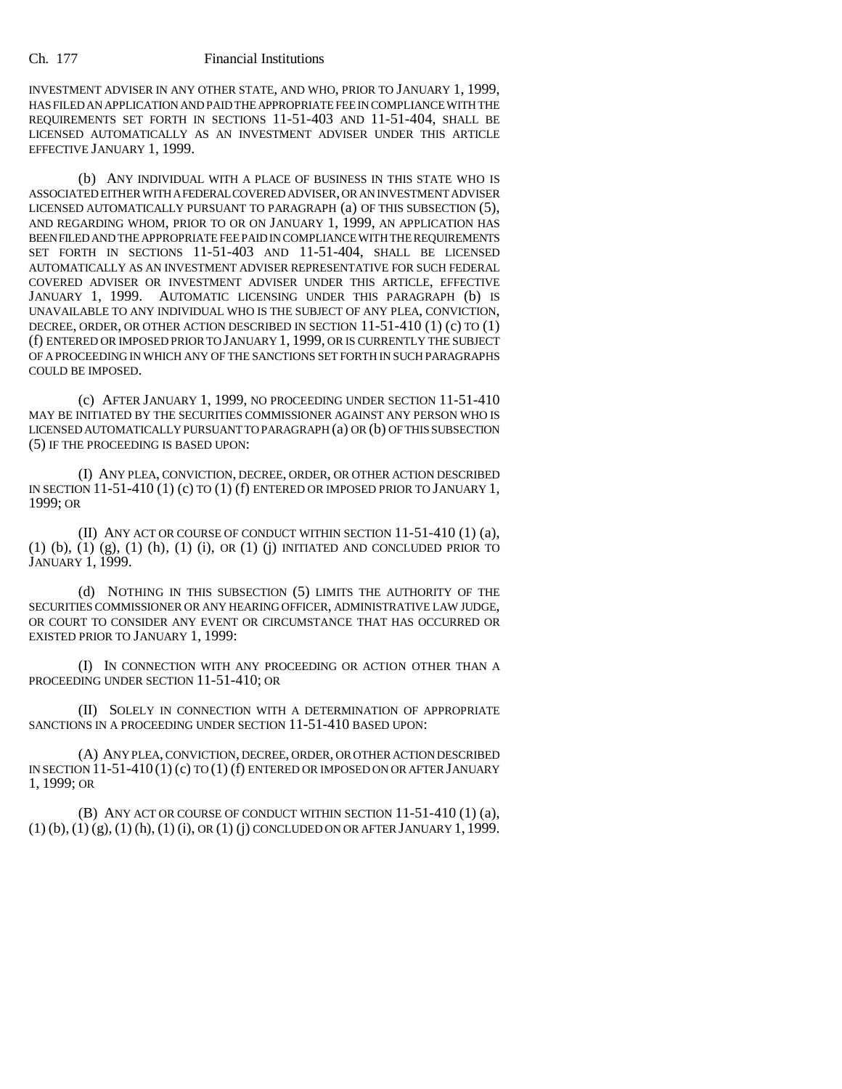INVESTMENT ADVISER IN ANY OTHER STATE, AND WHO, PRIOR TO JANUARY 1, 1999, HAS FILED AN APPLICATION AND PAID THE APPROPRIATE FEE IN COMPLIANCE WITH THE REQUIREMENTS SET FORTH IN SECTIONS 11-51-403 AND 11-51-404, SHALL BE LICENSED AUTOMATICALLY AS AN INVESTMENT ADVISER UNDER THIS ARTICLE EFFECTIVE JANUARY 1, 1999.

(b) ANY INDIVIDUAL WITH A PLACE OF BUSINESS IN THIS STATE WHO IS ASSOCIATED EITHER WITH A FEDERAL COVERED ADVISER, OR AN INVESTMENT ADVISER LICENSED AUTOMATICALLY PURSUANT TO PARAGRAPH (a) OF THIS SUBSECTION (5), AND REGARDING WHOM, PRIOR TO OR ON JANUARY 1, 1999, AN APPLICATION HAS BEEN FILED AND THE APPROPRIATE FEE PAID IN COMPLIANCE WITH THE REQUIREMENTS SET FORTH IN SECTIONS 11-51-403 AND 11-51-404, SHALL BE LICENSED AUTOMATICALLY AS AN INVESTMENT ADVISER REPRESENTATIVE FOR SUCH FEDERAL COVERED ADVISER OR INVESTMENT ADVISER UNDER THIS ARTICLE, EFFECTIVE JANUARY 1, 1999. AUTOMATIC LICENSING UNDER THIS PARAGRAPH (b) IS UNAVAILABLE TO ANY INDIVIDUAL WHO IS THE SUBJECT OF ANY PLEA, CONVICTION, DECREE, ORDER, OR OTHER ACTION DESCRIBED IN SECTION 11-51-410 (1) (c) TO (1) (f) ENTERED OR IMPOSED PRIOR TO JANUARY 1, 1999, OR IS CURRENTLY THE SUBJECT OF A PROCEEDING IN WHICH ANY OF THE SANCTIONS SET FORTH IN SUCH PARAGRAPHS COULD BE IMPOSED.

(c) AFTER JANUARY 1, 1999, NO PROCEEDING UNDER SECTION 11-51-410 MAY BE INITIATED BY THE SECURITIES COMMISSIONER AGAINST ANY PERSON WHO IS LICENSED AUTOMATICALLY PURSUANT TO PARAGRAPH (a) OR (b) OF THIS SUBSECTION (5) IF THE PROCEEDING IS BASED UPON:

(I) ANY PLEA, CONVICTION, DECREE, ORDER, OR OTHER ACTION DESCRIBED IN SECTION  $11-51-410$  (1) (c) TO (1) (f) ENTERED OR IMPOSED PRIOR TO JANUARY 1, 1999; OR

(II) ANY ACT OR COURSE OF CONDUCT WITHIN SECTION 11-51-410 (1) (a),  $(1)$   $(b)$ ,  $(1)$   $(g)$ ,  $(1)$   $(h)$ ,  $(1)$   $(i)$ ,  $OR$   $(1)$   $(i)$  INITIATED AND CONCLUDED PRIOR TO JANUARY 1, 1999.

(d) NOTHING IN THIS SUBSECTION (5) LIMITS THE AUTHORITY OF THE SECURITIES COMMISSIONER OR ANY HEARING OFFICER, ADMINISTRATIVE LAW JUDGE, OR COURT TO CONSIDER ANY EVENT OR CIRCUMSTANCE THAT HAS OCCURRED OR EXISTED PRIOR TO JANUARY 1, 1999:

(I) IN CONNECTION WITH ANY PROCEEDING OR ACTION OTHER THAN A PROCEEDING UNDER SECTION 11-51-410; OR

(II) SOLELY IN CONNECTION WITH A DETERMINATION OF APPROPRIATE SANCTIONS IN A PROCEEDING UNDER SECTION 11-51-410 BASED UPON:

(A) ANY PLEA, CONVICTION, DECREE, ORDER, OR OTHER ACTION DESCRIBED IN SECTION  $11-51-410(1)$  (c) TO  $(1)$  (f) ENTERED OR IMPOSED ON OR AFTER JANUARY 1, 1999; OR

(B) ANY ACT OR COURSE OF CONDUCT WITHIN SECTION 11-51-410 (1) (a),  $(1)$  (b),  $(1)$  (g),  $(1)$  (h),  $(1)$  (i), OR  $(1)$  (j) CONCLUDED ON OR AFTER JANUARY 1, 1999.